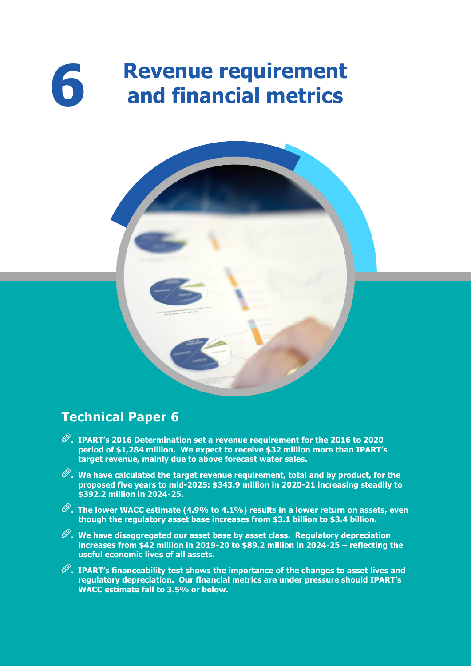# **Revenue requirement and financial metrics**



# **Technical Paper 6**

**6**

- **. IPART's 2016 Determination set a revenue requirement for the 2016 to 2020 period of \$1,284 million. We expect to receive \$32 million more than IPART's target revenue, mainly due to above forecast water sales.**
- **. We have calculated the target revenue requirement, total and by product, for the proposed five years to mid-2025: \$343.9 million in 2020-21 increasing steadily to \$392.2 million in 2024-25.**
- $\mathscr{D}.$  The lower WACC estimate (4.9% to 4.1%) results in a lower return on assets, even **though the regulatory asset base increases from \$3.1 billion to \$3.4 billion.**
- **. We have disaggregated our asset base by asset class. Regulatory depreciation increases from \$42 million in 2019-20 to \$89.2 million in 2024-25 – reflecting the useful economic lives of all assets.**
- **. IPART's financeability test shows the importance of the changes to asset lives and regulatory depreciation. Our financial metrics are under pressure should IPART's WACC estimate fall to 3.5% or below.**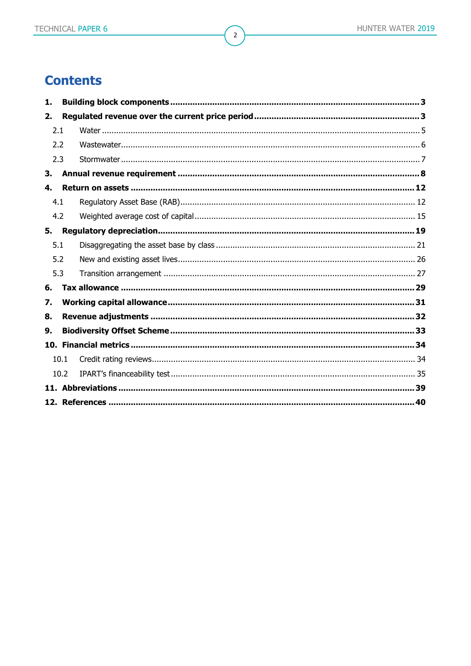# **Contents**

| 1.  |      |  |
|-----|------|--|
| 2.  |      |  |
| 2.1 |      |  |
| 2.2 |      |  |
| 2.3 |      |  |
| 3.  |      |  |
| 4.  |      |  |
| 4.1 |      |  |
| 4.2 |      |  |
| 5.  |      |  |
| 5.1 |      |  |
| 5.2 |      |  |
| 5.3 |      |  |
| 6.  |      |  |
| 7.  |      |  |
| 8.  |      |  |
| 9.  |      |  |
|     |      |  |
|     | 10.1 |  |
|     | 10.2 |  |
|     |      |  |
|     |      |  |

 $\overline{2}$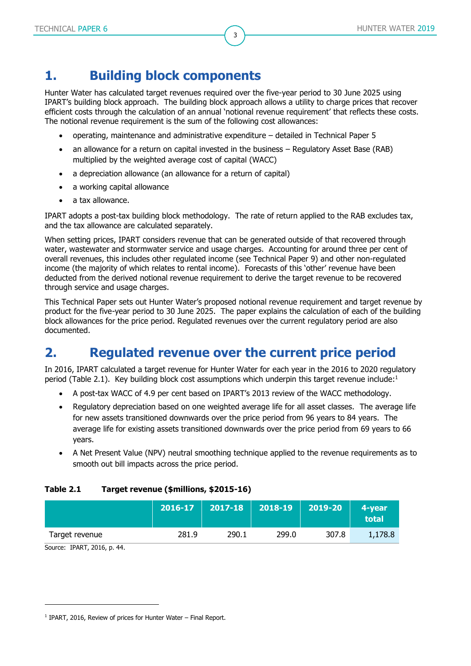# <span id="page-2-0"></span>**1. Building block components**

Hunter Water has calculated target revenues required over the five-year period to 30 June 2025 using IPART's building block approach. The building block approach allows a utility to charge prices that recover efficient costs through the calculation of an annual 'notional revenue requirement' that reflects these costs. The notional revenue requirement is the sum of the following cost allowances:

3

- operating, maintenance and administrative expenditure detailed in Technical Paper 5
- an allowance for a return on capital invested in the business Regulatory Asset Base (RAB) multiplied by the weighted average cost of capital (WACC)
- a depreciation allowance (an allowance for a return of capital)
- a working capital allowance
- a tax allowance.

IPART adopts a post-tax building block methodology. The rate of return applied to the RAB excludes tax, and the tax allowance are calculated separately.

When setting prices, IPART considers revenue that can be generated outside of that recovered through water, wastewater and stormwater service and usage charges. Accounting for around three per cent of overall revenues, this includes other regulated income (see Technical Paper 9) and other non-regulated income (the majority of which relates to rental income). Forecasts of this 'other' revenue have been deducted from the derived notional revenue requirement to derive the target revenue to be recovered through service and usage charges.

This Technical Paper sets out Hunter Water's proposed notional revenue requirement and target revenue by product for the five-year period to 30 June 2025. The paper explains the calculation of each of the building block allowances for the price period. Regulated revenues over the current regulatory period are also documented.

# <span id="page-2-1"></span>**2. Regulated revenue over the current price period**

In 2016, IPART calculated a target revenue for Hunter Water for each year in the 2016 to 2020 regulatory period [\(Table 2.1\)](#page-2-2). Key building block cost assumptions which underpin this target revenue include:<sup>1</sup>

- A post-tax WACC of 4.9 per cent based on IPART's 2013 review of the WACC methodology.
- Regulatory depreciation based on one weighted average life for all asset classes. The average life for new assets transitioned downwards over the price period from 96 years to 84 years. The average life for existing assets transitioned downwards over the price period from 69 years to 66 years.
- A Net Present Value (NPV) neutral smoothing technique applied to the revenue requirements as to smooth out bill impacts across the price period.

#### <span id="page-2-2"></span>**Table 2.1 Target revenue (\$millions, \$2015-16)**

|                | 2016-17 | $2017 - 18$ | $\vert$ 2018-19 $\vert$ | 2019-20 | 4-vear<br>total |
|----------------|---------|-------------|-------------------------|---------|-----------------|
| Target revenue | 281.9   | 290.1       | 299.0                   | 307.8   | 1,178.8         |

Source: IPART, 2016, p. 44.

<sup>&</sup>lt;sup>1</sup> IPART, 2016, Review of prices for Hunter Water - Final Report.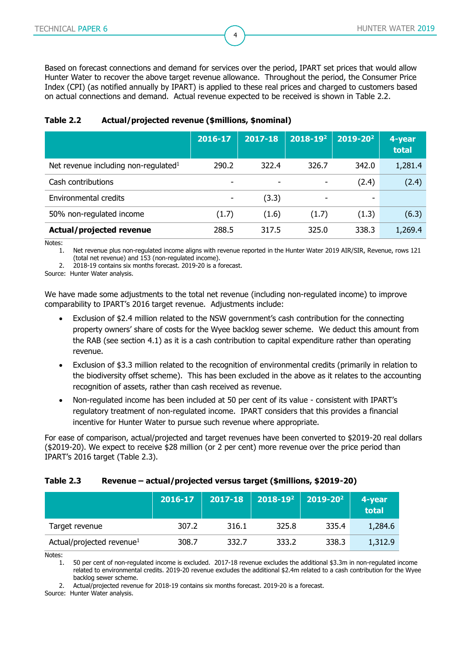Based on forecast connections and demand for services over the period, IPART set prices that would allow Hunter Water to recover the above target revenue allowance. Throughout the period, the Consumer Price Index (CPI) (as notified annually by IPART) is applied to these real prices and charged to customers based on actual connections and demand. Actual revenue expected to be received is shown in [Table 2.2.](#page-3-0)

4

|                                         | 2016-17                  | $2017 - 18$ | 2018-192 | 2019-202 | 4-year<br>total |
|-----------------------------------------|--------------------------|-------------|----------|----------|-----------------|
| Net revenue including non-regulated $1$ | 290.2                    | 322.4       | 326.7    | 342.0    | 1,281.4         |
| Cash contributions                      | $\overline{\phantom{0}}$ |             |          | (2.4)    | (2.4)           |
| Environmental credits                   | $\overline{\phantom{a}}$ | (3.3)       | ۰        | -        |                 |
| 50% non-regulated income                | (1.7)                    | (1.6)       | (1.7)    | (1.3)    | (6.3)           |
| Actual/projected revenue                | 288.5                    | 317.5       | 325.0    | 338.3    | 1,269.4         |

#### <span id="page-3-0"></span>**Table 2.2 Actual/projected revenue (\$millions, \$nominal)**

Notes:

1. Net revenue plus non-regulated income aligns with revenue reported in the Hunter Water 2019 AIR/SIR, Revenue, rows 121 (total net revenue) and 153 (non-regulated income).

2. 2018-19 contains six months forecast. 2019-20 is a forecast.

Source: Hunter Water analysis.

We have made some adjustments to the total net revenue (including non-regulated income) to improve comparability to IPART's 2016 target revenue. Adjustments include:

- Exclusion of \$2.4 million related to the NSW government's cash contribution for the connecting property owners' share of costs for the Wyee backlog sewer scheme. We deduct this amount from the RAB (see section [4.1\)](#page-11-1) as it is a cash contribution to capital expenditure rather than operating revenue.
- Exclusion of \$3.3 million related to the recognition of environmental credits (primarily in relation to the biodiversity offset scheme). This has been excluded in the above as it relates to the accounting recognition of assets, rather than cash received as revenue.
- Non-regulated income has been included at 50 per cent of its value consistent with IPART's regulatory treatment of non-regulated income. IPART considers that this provides a financial incentive for Hunter Water to pursue such revenue where appropriate.

For ease of comparison, actual/projected and target revenues have been converted to \$2019-20 real dollars (\$2019-20). We expect to receive \$28 million (or 2 per cent) more revenue over the price period than IPART's 2016 target [\(Table 2.3\)](#page-3-1).

#### <span id="page-3-1"></span>**Table 2.3 Revenue – actual/projected versus target (\$millions, \$2019-20)**

|                                       | 2016-17 | 2017-18 | $2018 - 19^2$ | $2019 - 20^2$ | 4-year<br>total |
|---------------------------------------|---------|---------|---------------|---------------|-----------------|
| Target revenue                        | 307.2   | 316.1   | 325.8         | 335.4         | 1,284.6         |
| Actual/projected revenue <sup>1</sup> | 308.7   | 332.7   | 333.2         | 338.3         | 1,312.9         |

Notes:

1. 50 per cent of non-regulated income is excluded. 2017-18 revenue excludes the additional \$3.3m in non-regulated income related to environmental credits. 2019-20 revenue excludes the additional \$2.4m related to a cash contribution for the Wyee backlog sewer scheme.

2. Actual/projected revenue for 2018-19 contains six months forecast. 2019-20 is a forecast.

Source: Hunter Water analysis.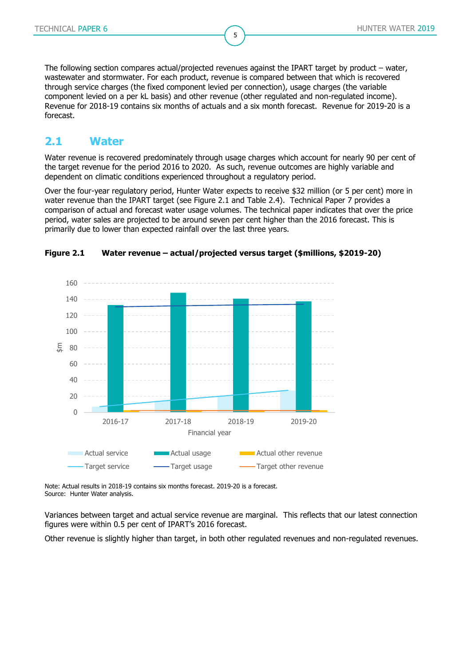The following section compares actual/projected revenues against the IPART target by product – water, wastewater and stormwater. For each product, revenue is compared between that which is recovered through service charges (the fixed component levied per connection), usage charges (the variable component levied on a per kL basis) and other revenue (other regulated and non-regulated income). Revenue for 2018-19 contains six months of actuals and a six month forecast. Revenue for 2019-20 is a forecast.

5

### <span id="page-4-0"></span>**2.1 Water**

Water revenue is recovered predominately through usage charges which account for nearly 90 per cent of the target revenue for the period 2016 to 2020. As such, revenue outcomes are highly variable and dependent on climatic conditions experienced throughout a regulatory period.

Over the four-year regulatory period, Hunter Water expects to receive \$32 million (or 5 per cent) more in water revenue than the IPART target (see [Figure 2.1](#page-4-1) and [Table 2.4\)](#page-5-1). Technical Paper 7 provides a comparison of actual and forecast water usage volumes. The technical paper indicates that over the price period, water sales are projected to be around seven per cent higher than the 2016 forecast. This is primarily due to lower than expected rainfall over the last three years.



#### <span id="page-4-1"></span>**Figure 2.1 Water revenue – actual/projected versus target (\$millions, \$2019-20)**

Note: Actual results in 2018-19 contains six months forecast. 2019-20 is a forecast. Source: Hunter Water analysis.

Variances between target and actual service revenue are marginal. This reflects that our latest connection figures were within 0.5 per cent of IPART's 2016 forecast.

Other revenue is slightly higher than target, in both other regulated revenues and non-regulated revenues.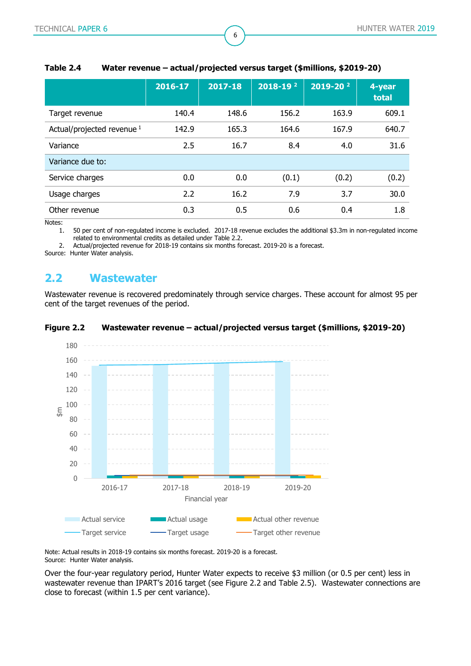|                                       | 2016-17 | $2017 - 18$ | $2018 - 192$ | $2019 - 20^{2}$ | 4-year<br>total |
|---------------------------------------|---------|-------------|--------------|-----------------|-----------------|
| Target revenue                        | 140.4   | 148.6       | 156.2        | 163.9           | 609.1           |
| Actual/projected revenue <sup>1</sup> | 142.9   | 165.3       | 164.6        | 167.9           | 640.7           |
| Variance                              | 2.5     | 16.7        | 8.4          | 4.0             | 31.6            |
| Variance due to:                      |         |             |              |                 |                 |
| Service charges                       | 0.0     | 0.0         | (0.1)        | (0.2)           | (0.2)           |
| Usage charges                         | 2.2     | 16.2        | 7.9          | 3.7             | 30.0            |
| Other revenue                         | 0.3     | 0.5         | 0.6          | 0.4             | 1.8             |

#### <span id="page-5-1"></span>**Table 2.4 Water revenue – actual/projected versus target (\$millions, \$2019-20)**

6

Notes:

1. 50 per cent of non-regulated income is excluded. 2017-18 revenue excludes the additional \$3.3m in non-regulated income related to environmental credits as detailed under [Table 2.2.](#page-3-0)

2. Actual/projected revenue for 2018-19 contains six months forecast. 2019-20 is a forecast.

<span id="page-5-0"></span>Source: Hunter Water analysis.

### **2.2 Wastewater**

Wastewater revenue is recovered predominately through service charges. These account for almost 95 per cent of the target revenues of the period.

<span id="page-5-2"></span>



Note: Actual results in 2018-19 contains six months forecast. 2019-20 is a forecast. Source: Hunter Water analysis.

Over the four-year regulatory period, Hunter Water expects to receive \$3 million (or 0.5 per cent) less in wastewater revenue than IPART's 2016 target (see [Figure 2.2](#page-5-2) and [Table 2.5\)](#page-6-1). Wastewater connections are close to forecast (within 1.5 per cent variance).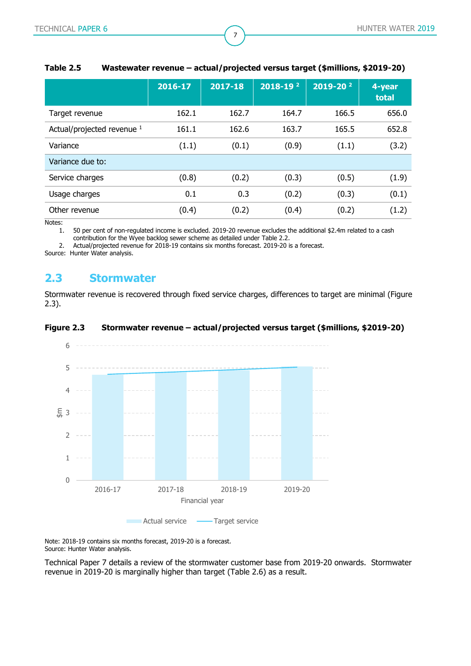|                            | 2016-17 | 2017-18 | $2018 - 192$ | $2019 - 20^{2}$ | 4-year<br>total |
|----------------------------|---------|---------|--------------|-----------------|-----------------|
| Target revenue             | 162.1   | 162.7   | 164.7        | 166.5           | 656.0           |
| Actual/projected revenue 1 | 161.1   | 162.6   | 163.7        | 165.5           | 652.8           |
| Variance                   | (1.1)   | (0.1)   | (0.9)        | (1.1)           | (3.2)           |
| Variance due to:           |         |         |              |                 |                 |
| Service charges            | (0.8)   | (0.2)   | (0.3)        | (0.5)           | (1.9)           |
| Usage charges              | 0.1     | 0.3     | (0.2)        | (0.3)           | (0.1)           |
| Other revenue              | (0.4)   | (0.2)   | (0.4)        | (0.2)           | (1.2)           |

#### <span id="page-6-1"></span>**Table 2.5 Wastewater revenue – actual/projected versus target (\$millions, \$2019-20)**

7

Notes:

1. 50 per cent of non-regulated income is excluded. 2019-20 revenue excludes the additional \$2.4m related to a cash contribution for the Wyee backlog sewer scheme as detailed under [Table 2.2.](#page-3-0)

2. Actual/projected revenue for 2018-19 contains six months forecast. 2019-20 is a forecast.

<span id="page-6-0"></span>Source: Hunter Water analysis.

### **2.3 Stormwater**

Stormwater revenue is recovered through fixed service charges, differences to target are minimal [\(Figure](#page-6-2)  [2.3\)](#page-6-2).

#### <span id="page-6-2"></span>**Figure 2.3 Stormwater revenue – actual/projected versus target (\$millions, \$2019-20)**



Note: 2018-19 contains six months forecast, 2019-20 is a forecast. Source: Hunter Water analysis.

Technical Paper 7 details a review of the stormwater customer base from 2019-20 onwards. Stormwater revenue in 2019-20 is marginally higher than target [\(Table 2.6\)](#page-7-1) as a result.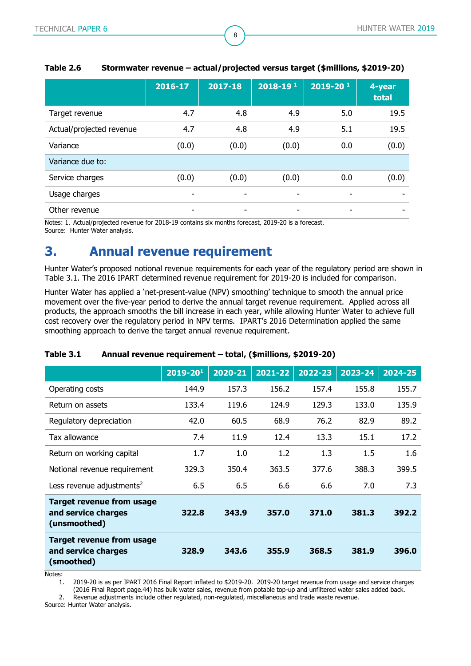|                          | 2016-17                  | 2017-18 | $2018 - 19$ <sup>1</sup> | $2019 - 20^{1}$ | 4-year<br>total |
|--------------------------|--------------------------|---------|--------------------------|-----------------|-----------------|
| Target revenue           | 4.7                      | 4.8     | 4.9                      | 5.0             | 19.5            |
| Actual/projected revenue | 4.7                      | 4.8     | 4.9                      | 5.1             | 19.5            |
| Variance                 | (0.0)                    | (0.0)   | (0.0)                    | 0.0             | (0.0)           |
| Variance due to:         |                          |         |                          |                 |                 |
| Service charges          | (0.0)                    | (0.0)   | (0.0)                    | 0.0             | (0.0)           |
| Usage charges            | $\overline{\phantom{a}}$ | -       | -                        | $\qquad \qquad$ | -               |
| Other revenue            | -                        | -       | -                        | -               |                 |

#### <span id="page-7-1"></span>**Table 2.6 Stormwater revenue – actual/projected versus target (\$millions, \$2019-20)**

8

Notes: 1. Actual/projected revenue for 2018-19 contains six months forecast, 2019-20 is a forecast. Source: Hunter Water analysis.

# <span id="page-7-0"></span>**3. Annual revenue requirement**

Hunter Water's proposed notional revenue requirements for each year of the regulatory period are shown in [Table 3.1.](#page-7-2) The 2016 IPART determined revenue requirement for 2019-20 is included for comparison.

Hunter Water has applied a 'net-present-value (NPV) smoothing' technique to smooth the annual price movement over the five-year period to derive the annual target revenue requirement. Applied across all products, the approach smooths the bill increase in each year, while allowing Hunter Water to achieve full cost recovery over the regulatory period in NPV terms. IPART's 2016 Determination applied the same smoothing approach to derive the target annual revenue requirement.

|                                                                         | $2019 - 201$ | 2020-21 | 2021-22 | 2022-23 | 2023-24 | 2024-25 |
|-------------------------------------------------------------------------|--------------|---------|---------|---------|---------|---------|
| Operating costs                                                         | 144.9        | 157.3   | 156.2   | 157.4   | 155.8   | 155.7   |
| Return on assets                                                        | 133.4        | 119.6   | 124.9   | 129.3   | 133.0   | 135.9   |
| Regulatory depreciation                                                 | 42.0         | 60.5    | 68.9    | 76.2    | 82.9    | 89.2    |
| Tax allowance                                                           | 7.4          | 11.9    | 12.4    | 13.3    | 15.1    | 17.2    |
| Return on working capital                                               | 1.7          | 1.0     | 1.2     | 1.3     | $1.5\,$ | 1.6     |
| Notional revenue requirement                                            | 329.3        | 350.4   | 363.5   | 377.6   | 388.3   | 399.5   |
| Less revenue adjustments <sup>2</sup>                                   | 6.5          | 6.5     | 6.6     | 6.6     | 7.0     | 7.3     |
| <b>Target revenue from usage</b><br>and service charges<br>(unsmoothed) | 322.8        | 343.9   | 357.0   | 371.0   | 381.3   | 392.2   |
| <b>Target revenue from usage</b><br>and service charges<br>(smoothed)   | 328.9        | 343.6   | 355.9   | 368.5   | 381.9   | 396.0   |

#### <span id="page-7-2"></span>**Table 3.1 Annual revenue requirement – total, (\$millions, \$2019-20)**

Notes:

1. 2019-20 is as per IPART 2016 Final Report inflated to \$2019-20. 2019-20 target revenue from usage and service charges (2016 Final Report page.44) has bulk water sales, revenue from potable top-up and unfiltered water sales added back.

2. Revenue adjustments include other regulated, non-regulated, miscellaneous and trade waste revenue.

Source: Hunter Water analysis.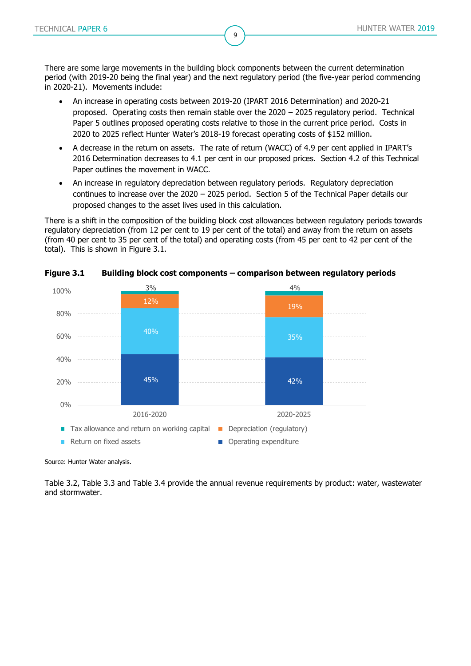There are some large movements in the building block components between the current determination period (with 2019-20 being the final year) and the next regulatory period (the five-year period commencing in 2020-21). Movements include:

9

- An increase in operating costs between 2019-20 (IPART 2016 Determination) and 2020-21 proposed. Operating costs then remain stable over the 2020 – 2025 regulatory period. Technical Paper 5 outlines proposed operating costs relative to those in the current price period. Costs in 2020 to 2025 reflect Hunter Water's 2018-19 forecast operating costs of \$152 million.
- A decrease in the return on assets. The rate of return (WACC) of 4.9 per cent applied in IPART's 2016 Determination decreases to 4.1 per cent in our proposed prices. Section [4.2](#page-14-0) of this Technical Paper outlines the movement in WACC.
- An increase in regulatory depreciation between regulatory periods. Regulatory depreciation continues to increase over the 2020 – 2025 period. Section [5](#page-18-0) of the Technical Paper details our proposed changes to the asset lives used in this calculation.

There is a shift in the composition of the building block cost allowances between regulatory periods towards regulatory depreciation (from 12 per cent to 19 per cent of the total) and away from the return on assets (from 40 per cent to 35 per cent of the total) and operating costs (from 45 per cent to 42 per cent of the total). This is shown in [Figure 3.1.](#page-8-0)



<span id="page-8-0"></span>**Figure 3.1 Building block cost components – comparison between regulatory periods**

Source: Hunter Water analysis.

[Table 3.2,](#page-9-0) [Table 3.3](#page-9-1) and [Table 3.4](#page-10-0) provide the annual revenue requirements by product: water, wastewater and stormwater.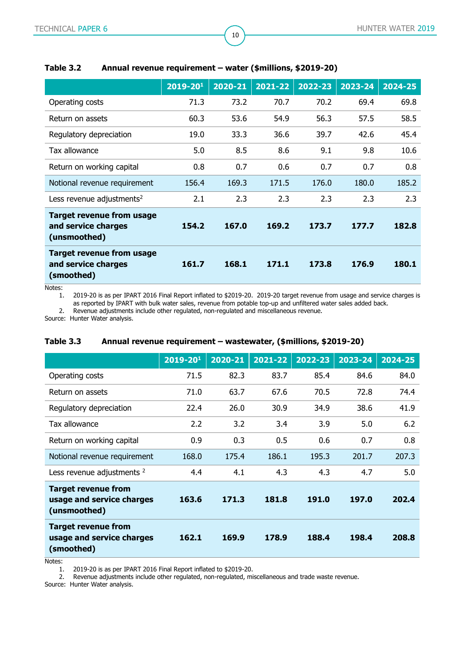|                                                                         | $2019 - 201$ | 2020-21 | 2021-22 | 2022-23 | 2023-24 | 2024-25 |
|-------------------------------------------------------------------------|--------------|---------|---------|---------|---------|---------|
| Operating costs                                                         | 71.3         | 73.2    | 70.7    | 70.2    | 69.4    | 69.8    |
| Return on assets                                                        | 60.3         | 53.6    | 54.9    | 56.3    | 57.5    | 58.5    |
| Regulatory depreciation                                                 | 19.0         | 33.3    | 36.6    | 39.7    | 42.6    | 45.4    |
| Tax allowance                                                           | 5.0          | 8.5     | 8.6     | 9.1     | 9.8     | 10.6    |
| Return on working capital                                               | 0.8          | 0.7     | 0.6     | 0.7     | 0.7     | 0.8     |
| Notional revenue requirement                                            | 156.4        | 169.3   | 171.5   | 176.0   | 180.0   | 185.2   |
| Less revenue adjustments <sup>2</sup>                                   | 2.1          | 2.3     | 2.3     | 2.3     | 2.3     | 2.3     |
| <b>Target revenue from usage</b><br>and service charges<br>(unsmoothed) | 154.2        | 167.0   | 169.2   | 173.7   | 177.7   | 182.8   |
| <b>Target revenue from usage</b><br>and service charges<br>(smoothed)   | 161.7        | 168.1   | 171.1   | 173.8   | 176.9   | 180.1   |

10

#### <span id="page-9-0"></span>**Table 3.2 Annual revenue requirement – water (\$millions, \$2019-20)**

Notes:

1. 2019-20 is as per IPART 2016 Final Report inflated to \$2019-20. 2019-20 target revenue from usage and service charges is as reported by IPART with bulk water sales, revenue from potable top-up and unfiltered water sales added back.

2. Revenue adjustments include other regulated, non-regulated and miscellaneous revenue.

<span id="page-9-1"></span>Source: Hunter Water analysis.

|                                                                         | 2019-201 | 2020-21 | 2021-22 | 2022-23 | 2023-24 | 2024-25 |
|-------------------------------------------------------------------------|----------|---------|---------|---------|---------|---------|
| Operating costs                                                         | 71.5     | 82.3    | 83.7    | 85.4    | 84.6    | 84.0    |
| Return on assets                                                        | 71.0     | 63.7    | 67.6    | 70.5    | 72.8    | 74.4    |
| Regulatory depreciation                                                 | 22.4     | 26.0    | 30.9    | 34.9    | 38.6    | 41.9    |
| Tax allowance                                                           | 2.2      | 3.2     | 3.4     | 3.9     | 5.0     | 6.2     |
| Return on working capital                                               | 0.9      | 0.3     | 0.5     | 0.6     | 0.7     | 0.8     |
| Notional revenue requirement                                            | 168.0    | 175.4   | 186.1   | 195.3   | 201.7   | 207.3   |
| Less revenue adjustments <sup>2</sup>                                   | 4.4      | 4.1     | 4.3     | 4.3     | 4.7     | 5.0     |
| <b>Target revenue from</b><br>usage and service charges<br>(unsmoothed) | 163.6    | 171.3   | 181.8   | 191.0   | 197.0   | 202.4   |
| <b>Target revenue from</b><br>usage and service charges<br>(smoothed)   | 162.1    | 169.9   | 178.9   | 188.4   | 198.4   | 208.8   |

#### **Table 3.3 Annual revenue requirement – wastewater, (\$millions, \$2019-20)**

Notes:

1. 2019-20 is as per IPART 2016 Final Report inflated to \$2019-20.<br>2. Revenue adjustments include other regulated, non-regulated, mi

2. Revenue adjustments include other regulated, non-regulated, miscellaneous and trade waste revenue.

Source: Hunter Water analysis.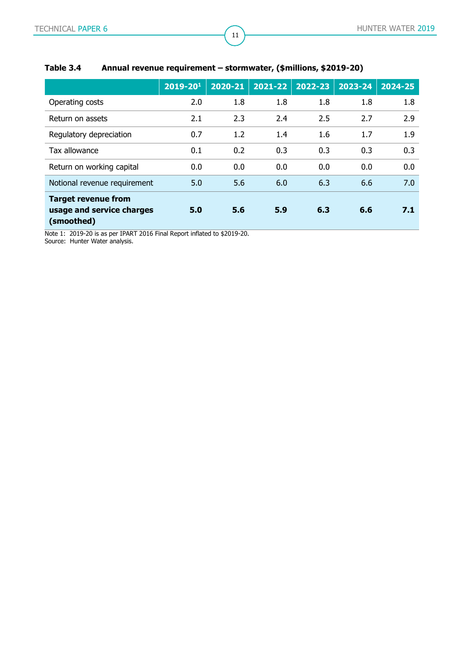|                                                                       | $2019 - 20^{1}$ | 2020-21 | 2021-22 | 2022-23 | 2023-24 | 2024-25 |
|-----------------------------------------------------------------------|-----------------|---------|---------|---------|---------|---------|
| Operating costs                                                       | 2.0             | 1.8     | 1.8     | 1.8     | 1.8     | 1.8     |
| Return on assets                                                      | 2.1             | 2.3     | 2.4     | 2.5     | 2.7     | 2.9     |
| Regulatory depreciation                                               | 0.7             | 1.2     | 1.4     | 1.6     | 1.7     | 1.9     |
| Tax allowance                                                         | 0.1             | 0.2     | 0.3     | 0.3     | 0.3     | 0.3     |
| Return on working capital                                             | 0.0             | 0.0     | 0.0     | 0.0     | 0.0     | 0.0     |
| Notional revenue requirement                                          | 5.0             | 5.6     | 6.0     | 6.3     | 6.6     | 7.0     |
| <b>Target revenue from</b><br>usage and service charges<br>(smoothed) | 5.0             | 5.6     | 5.9     | 6.3     | 6.6     | 7.1     |

### <span id="page-10-0"></span>**Table 3.4 Annual revenue requirement – stormwater, (\$millions, \$2019-20)**

Note 1: 2019-20 is as per IPART 2016 Final Report inflated to \$2019-20.

Source: Hunter Water analysis.

11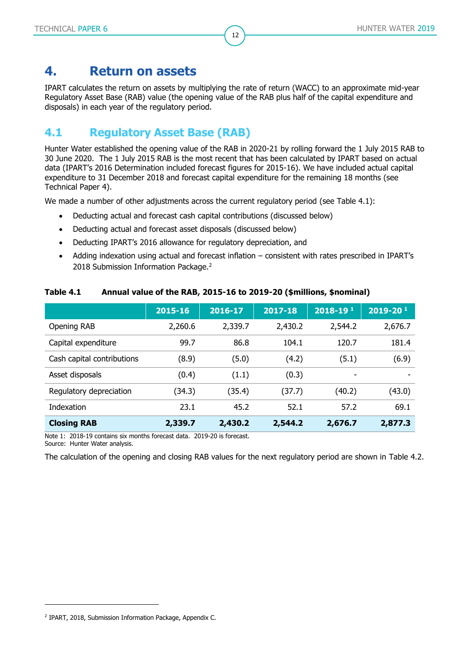# <span id="page-11-0"></span>**4. Return on assets**

IPART calculates the return on assets by multiplying the rate of return (WACC) to an approximate mid-year Regulatory Asset Base (RAB) value (the opening value of the RAB plus half of the capital expenditure and disposals) in each year of the regulatory period.

12

# <span id="page-11-1"></span>**4.1 Regulatory Asset Base (RAB)**

Hunter Water established the opening value of the RAB in 2020-21 by rolling forward the 1 July 2015 RAB to 30 June 2020. The 1 July 2015 RAB is the most recent that has been calculated by IPART based on actual data (IPART's 2016 Determination included forecast figures for 2015-16). We have included actual capital expenditure to 31 December 2018 and forecast capital expenditure for the remaining 18 months (see Technical Paper 4).

We made a number of other adjustments across the current regulatory period (see [Table 4.1\)](#page-11-2):

- Deducting actual and forecast cash capital contributions (discussed below)
- Deducting actual and forecast asset disposals (discussed below)
- Deducting IPART's 2016 allowance for regulatory depreciation, and
- Adding indexation using actual and forecast inflation consistent with rates prescribed in IPART's 2018 Submission Information Package.<sup>2</sup>

<span id="page-11-2"></span>

| Table 4.1 | Annual value of the RAB, 2015-16 to 2019-20 (\$millions, \$nominal) |  |  |  |  |
|-----------|---------------------------------------------------------------------|--|--|--|--|
|-----------|---------------------------------------------------------------------|--|--|--|--|

|                            | 2015-16 | 2016-17 | $2017 - 18$ | $2018 - 191$             | $2019 - 201$ |
|----------------------------|---------|---------|-------------|--------------------------|--------------|
| Opening RAB                | 2,260.6 | 2,339.7 | 2,430.2     | 2,544.2                  | 2,676.7      |
| Capital expenditure        | 99.7    | 86.8    | 104.1       | 120.7                    | 181.4        |
| Cash capital contributions | (8.9)   | (5.0)   | (4.2)       | (5.1)                    | (6.9)        |
| Asset disposals            | (0.4)   | (1.1)   | (0.3)       | $\overline{\phantom{a}}$ | ٠            |
| Regulatory depreciation    | (34.3)  | (35.4)  | (37.7)      | (40.2)                   | (43.0)       |
| Indexation                 | 23.1    | 45.2    | 52.1        | 57.2                     | 69.1         |
| <b>Closing RAB</b>         | 2,339.7 | 2,430.2 | 2,544.2     | 2,676.7                  | 2,877.3      |

Note 1: 2018-19 contains six months forecast data. 2019-20 is forecast. Source: Hunter Water analysis.

The calculation of the opening and closing RAB values for the next regulatory period are shown in [Table 4.2.](#page-12-0)

<sup>2</sup> IPART, 2018, Submission Information Package, Appendix C.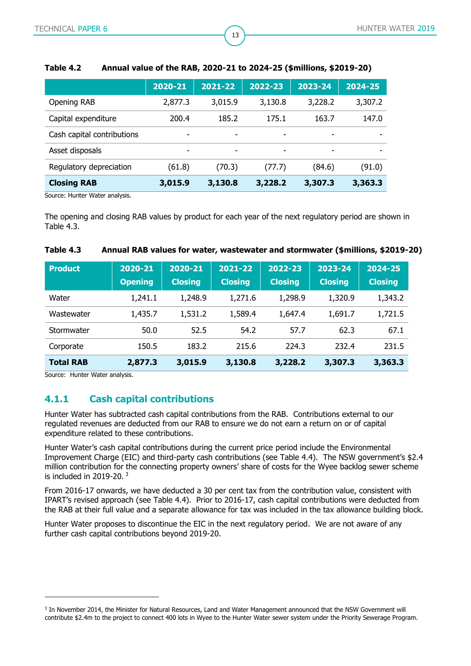|                            | 2020-21 | 2021-22                  | 2022-23                  | 2023-24                  | 2024-25 |
|----------------------------|---------|--------------------------|--------------------------|--------------------------|---------|
| Opening RAB                | 2,877.3 | 3,015.9                  | 3,130.8                  | 3,228.2                  | 3,307.2 |
| Capital expenditure        | 200.4   | 185.2                    | 175.1                    | 163.7                    | 147.0   |
| Cash capital contributions | -       | $\overline{\phantom{0}}$ | $\overline{\phantom{a}}$ | ٠                        |         |
| Asset disposals            | -       |                          |                          | $\overline{\phantom{0}}$ |         |
| Regulatory depreciation    | (61.8)  | (70.3)                   | (77.7)                   | (84.6)                   | (91.0)  |
| <b>Closing RAB</b>         | 3,015.9 | 3,130.8                  | 3,228.2                  | 3,307.3                  | 3,363.3 |

#### <span id="page-12-0"></span>**Table 4.2 Annual value of the RAB, 2020-21 to 2024-25 (\$millions, \$2019-20)**

13

Source: Hunter Water analysis.

The opening and closing RAB values by product for each year of the next regulatory period are shown in [Table 4.3.](#page-12-1)

| <b>Product</b>   | 2020-21<br><b>Opening</b> | 2020-21<br><b>Closing</b> | 2021-22<br><b>Closing</b> | 2022-23<br><b>Closing</b> | 2023-24<br><b>Closing</b> | 2024-25<br><b>Closing</b> |
|------------------|---------------------------|---------------------------|---------------------------|---------------------------|---------------------------|---------------------------|
| Water            | 1,241.1                   | 1,248.9                   | 1,271.6                   | 1,298.9                   | 1,320.9                   | 1,343.2                   |
| Wastewater       | 1,435.7                   | 1,531.2                   | 1,589.4                   | 1,647.4                   | 1,691.7                   | 1,721.5                   |
| Stormwater       | 50.0                      | 52.5                      | 54.2                      | 57.7                      | 62.3                      | 67.1                      |
| Corporate        | 150.5                     | 183.2                     | 215.6                     | 224.3                     | 232.4                     | 231.5                     |
| <b>Total RAB</b> | 2,877.3                   | 3,015.9                   | 3,130.8                   | 3,228.2                   | 3,307.3                   | 3,363.3                   |

#### <span id="page-12-1"></span>**Table 4.3 Annual RAB values for water, wastewater and stormwater (\$millions, \$2019-20)**

Source: Hunter Water analysis.

-

### **4.1.1 Cash capital contributions**

Hunter Water has subtracted cash capital contributions from the RAB. Contributions external to our regulated revenues are deducted from our RAB to ensure we do not earn a return on or of capital expenditure related to these contributions.

Hunter Water's cash capital contributions during the current price period include the Environmental Improvement Charge (EIC) and third-party cash contributions (see [Table 4.4\)](#page-13-0). The NSW government's \$2.4 million contribution for the connecting property owners' share of costs for the Wyee backlog sewer scheme is included in 2019-20. <sup>3</sup>

From 2016-17 onwards, we have deducted a 30 per cent tax from the contribution value, consistent with IPART's revised approach (see [Table 4.4\)](#page-13-0). Prior to 2016-17, cash capital contributions were deducted from the RAB at their full value and a separate allowance for tax was included in the tax allowance building block.

Hunter Water proposes to discontinue the EIC in the next regulatory period. We are not aware of any further cash capital contributions beyond 2019-20.

<sup>3</sup> In November 2014, the Minister for Natural Resources, Land and Water Management announced that the NSW Government will contribute \$2.4m to the project to connect 400 lots in Wyee to the Hunter Water sewer system under the Priority Sewerage Program.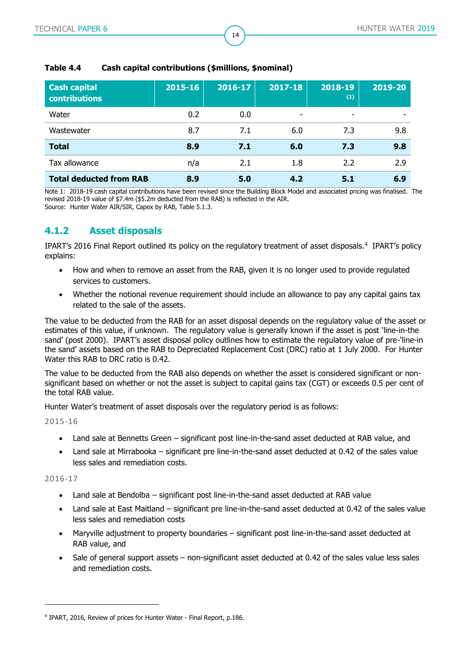| <b>Cash capital</b><br><b>contributions</b> | 2015-16 | 2016-17 | $2017 - 18$ | 2018-19<br>(1) | 2019-20 |
|---------------------------------------------|---------|---------|-------------|----------------|---------|
| Water                                       | 0.2     | 0.0     | ٠           | -              |         |
| Wastewater                                  | 8.7     | 7.1     | 6.0         | 7.3            | 9.8     |
| <b>Total</b>                                | 8.9     | 7.1     | 6.0         | 7.3            | 9.8     |
| Tax allowance                               | n/a     | 2.1     | 1.8         | 2.2            | 2.9     |
| <b>Total deducted from RAB</b>              | 8.9     | 5.0     | 4.2         | 5.1            | 6.9     |

14

#### <span id="page-13-0"></span>**Table 4.4 Cash capital contributions (\$millions, \$nominal)**

Note 1: 2018-19 cash capital contributions have been revised since the Building Block Model and associated pricing was finalised. The revised 2018-19 value of \$7.4m (\$5.2m deducted from the RAB) is reflected in the AIR. Source: Hunter Water AIR/SIR, Capex by RAB, Table 5.1.3.

#### **4.1.2 Asset disposals**

IPART's 2016 Final Report outlined its policy on the regulatory treatment of asset disposals.<sup>4</sup> IPART's policy explains:

- How and when to remove an asset from the RAB, given it is no longer used to provide regulated services to customers.
- Whether the notional revenue requirement should include an allowance to pay any capital gains tax related to the sale of the assets.

The value to be deducted from the RAB for an asset disposal depends on the regulatory value of the asset or estimates of this value, if unknown. The regulatory value is generally known if the asset is post 'line-in-the sand' (post 2000). IPART's asset disposal policy outlines how to estimate the regulatory value of pre-'line-in the sand' assets based on the RAB to Depreciated Replacement Cost (DRC) ratio at 1 July 2000. For Hunter Water this RAB to DRC ratio is 0.42.

The value to be deducted from the RAB also depends on whether the asset is considered significant or nonsignificant based on whether or not the asset is subject to capital gains tax (CGT) or exceeds 0.5 per cent of the total RAB value.

Hunter Water's treatment of asset disposals over the regulatory period is as follows:

2015-16

- Land sale at Bennetts Green significant post line-in-the-sand asset deducted at RAB value, and
- Land sale at Mirrabooka significant pre line-in-the-sand asset deducted at 0.42 of the sales value less sales and remediation costs.

2016-17

- Land sale at Bendolba significant post line-in-the-sand asset deducted at RAB value
- Land sale at East Maitland significant pre line-in-the-sand asset deducted at 0.42 of the sales value less sales and remediation costs
- Maryville adjustment to property boundaries significant post line-in-the-sand asset deducted at RAB value, and
- Sale of general support assets non-significant asset deducted at 0.42 of the sales value less sales and remediation costs.

<sup>4</sup> IPART, 2016, Review of prices for Hunter Water - Final Report, p.186.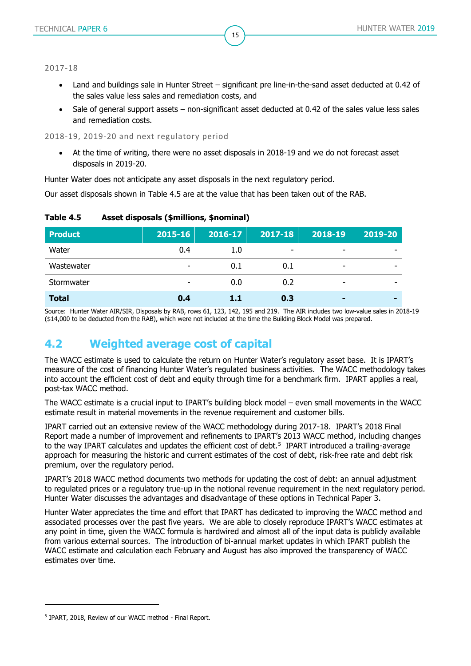2017-18

 Land and buildings sale in Hunter Street – significant pre line-in-the-sand asset deducted at 0.42 of the sales value less sales and remediation costs, and

15

 Sale of general support assets – non-significant asset deducted at 0.42 of the sales value less sales and remediation costs.

2018-19, 2019-20 and next regulatory period

 At the time of writing, there were no asset disposals in 2018-19 and we do not forecast asset disposals in 2019-20.

Hunter Water does not anticipate any asset disposals in the next regulatory period.

Our asset disposals shown in [Table 4.5](#page-14-1) are at the value that has been taken out of the RAB.

| <b>Product</b> | $2015 - 16$ | 2016-17 | $ 2017-18 $ | 2018-19                  | 2019-20 |
|----------------|-------------|---------|-------------|--------------------------|---------|
| Water          | 0.4         | 1.0     | ۰           |                          |         |
| Wastewater     |             | 0.1     | 0.1         | -                        |         |
| Stormwater     | -           | 0.0     | 0.2         | $\overline{\phantom{0}}$ |         |
| <b>Total</b>   | 0.4         | 1.1     | 0.3         | $\blacksquare$           | -       |

#### <span id="page-14-1"></span>**Table 4.5 Asset disposals (\$millions, \$nominal)**

Source: Hunter Water AIR/SIR, Disposals by RAB, rows 61, 123, 142, 195 and 219. The AIR includes two low-value sales in 2018-19 (\$14,000 to be deducted from the RAB), which were not included at the time the Building Block Model was prepared.

# <span id="page-14-0"></span>**4.2 Weighted average cost of capital**

The WACC estimate is used to calculate the return on Hunter Water's regulatory asset base. It is IPART's measure of the cost of financing Hunter Water's regulated business activities. The WACC methodology takes into account the efficient cost of debt and equity through time for a benchmark firm. IPART applies a real, post-tax WACC method.

The WACC estimate is a crucial input to IPART's building block model – even small movements in the WACC estimate result in material movements in the revenue requirement and customer bills.

IPART carried out an extensive review of the WACC methodology during 2017-18. IPART's 2018 Final Report made a number of improvement and refinements to IPART's 2013 WACC method, including changes to the way IPART calculates and updates the efficient cost of debt.<sup>5</sup> IPART introduced a trailing-average approach for measuring the historic and current estimates of the cost of debt, risk-free rate and debt risk premium, over the regulatory period.

IPART's 2018 WACC method documents two methods for updating the cost of debt: an annual adjustment to regulated prices or a regulatory true-up in the notional revenue requirement in the next regulatory period. Hunter Water discusses the advantages and disadvantage of these options in Technical Paper 3.

Hunter Water appreciates the time and effort that IPART has dedicated to improving the WACC method and associated processes over the past five years. We are able to closely reproduce IPART's WACC estimates at any point in time, given the WACC formula is hardwired and almost all of the input data is publicly available from various external sources. The introduction of bi-annual market updates in which IPART publish the WACC estimate and calculation each February and August has also improved the transparency of WACC estimates over time.

<sup>5</sup> IPART, 2018, Review of our WACC method - Final Report.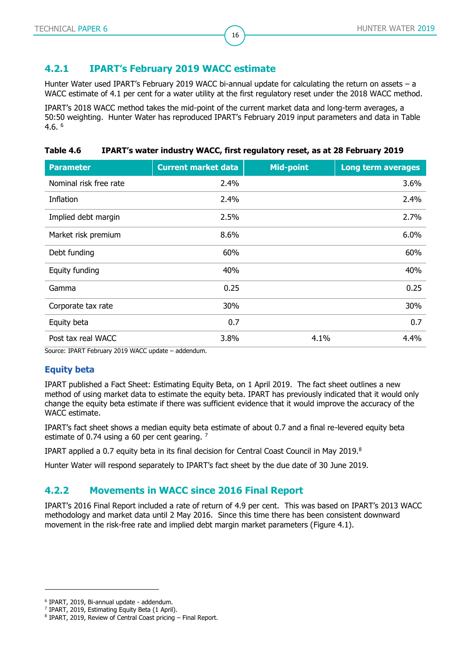#### **4.2.1 IPART's February 2019 WACC estimate**

Hunter Water used IPART's February 2019 WACC bi-annual update for calculating the return on assets – a WACC estimate of 4.1 per cent for a water utility at the first regulatory reset under the 2018 WACC method.

16

IPART's 2018 WACC method takes the mid-point of the current market data and long-term averages, a 50:50 weighting. Hunter Water has reproduced IPART's February 2019 input parameters and data in [Table](#page-15-0)  [4.6.](#page-15-0) 6

<span id="page-15-0"></span>

| Table 4.6 |  |  | IPART's water industry WACC, first regulatory reset, as at 28 February 2019 |  |
|-----------|--|--|-----------------------------------------------------------------------------|--|
|-----------|--|--|-----------------------------------------------------------------------------|--|

| <b>Parameter</b>       | <b>Current market data</b> | <b>Mid-point</b> | <b>Long term averages</b> |
|------------------------|----------------------------|------------------|---------------------------|
| Nominal risk free rate | 2.4%                       |                  | 3.6%                      |
| Inflation              | 2.4%                       |                  | 2.4%                      |
| Implied debt margin    | 2.5%                       |                  | 2.7%                      |
| Market risk premium    | 8.6%                       |                  | 6.0%                      |
| Debt funding           | 60%                        |                  | 60%                       |
| Equity funding         | 40%                        |                  | 40%                       |
| Gamma                  | 0.25                       |                  | 0.25                      |
| Corporate tax rate     | 30%                        |                  | 30%                       |
| Equity beta            | 0.7                        |                  | 0.7                       |
| Post tax real WACC     | 3.8%                       | 4.1%             | 4.4%                      |

Source: IPART February 2019 WACC update – addendum.

#### **Equity beta**

IPART published a Fact Sheet: Estimating Equity Beta, on 1 April 2019. The fact sheet outlines a new method of using market data to estimate the equity beta. IPART has previously indicated that it would only change the equity beta estimate if there was sufficient evidence that it would improve the accuracy of the WACC estimate.

IPART's fact sheet shows a median equity beta estimate of about 0.7 and a final re-levered equity beta estimate of 0.74 using a 60 per cent gearing. <sup>7</sup>

IPART applied a 0.7 equity beta in its final decision for Central Coast Council in May 2019.<sup>8</sup>

Hunter Water will respond separately to IPART's fact sheet by the due date of 30 June 2019.

#### **4.2.2 Movements in WACC since 2016 Final Report**

IPART's 2016 Final Report included a rate of return of 4.9 per cent. This was based on IPART's 2013 WACC methodology and market data until 2 May 2016. Since this time there has been consistent downward movement in the risk-free rate and implied debt margin market parameters [\(Figure 4.1\)](#page-16-0).

<sup>6</sup> IPART, 2019, Bi-annual update - addendum.

<sup>7</sup> IPART, 2019, Estimating Equity Beta (1 April).

<sup>8</sup> IPART, 2019, Review of Central Coast pricing – Final Report.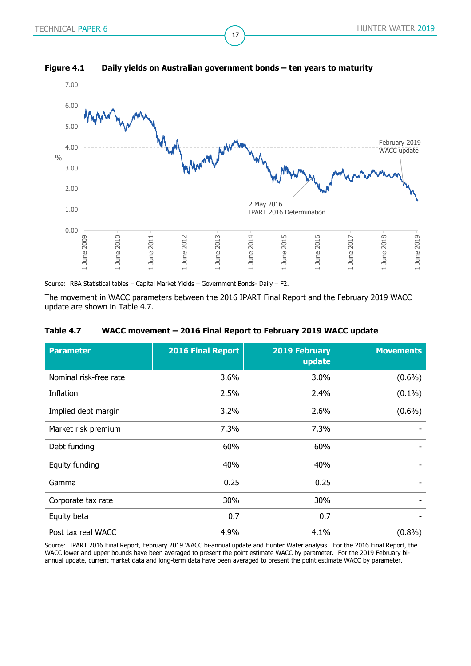

17

#### <span id="page-16-0"></span>**Figure 4.1 Daily yields on Australian government bonds – ten years to maturity**

Source: RBA Statistical tables – Capital Market Yields – Government Bonds- Daily – F2.

The movement in WACC parameters between the 2016 IPART Final Report and the February 2019 WACC update are shown in [Table 4.7.](#page-16-1)

#### <span id="page-16-1"></span>**Table 4.7 WACC movement – 2016 Final Report to February 2019 WACC update**

| <b>Parameter</b>       | <b>2016 Final Report</b> | <b>2019 February</b><br>update | <b>Movements</b> |
|------------------------|--------------------------|--------------------------------|------------------|
| Nominal risk-free rate | 3.6%                     | $3.0\%$                        | $(0.6\%)$        |
| Inflation              | 2.5%                     | 2.4%                           | $(0.1\%)$        |
| Implied debt margin    | 3.2%                     | 2.6%                           | $(0.6\%)$        |
| Market risk premium    | 7.3%                     | 7.3%                           |                  |
| Debt funding           | 60%                      | 60%                            |                  |
| Equity funding         | 40%                      | 40%                            |                  |
| Gamma                  | 0.25                     | 0.25                           |                  |
| Corporate tax rate     | 30%                      | 30%                            |                  |
| Equity beta            | 0.7                      | 0.7                            |                  |
| Post tax real WACC     | 4.9%                     | 4.1%                           | $(0.8\%)$        |

Source: IPART 2016 Final Report, February 2019 WACC bi-annual update and Hunter Water analysis. For the 2016 Final Report, the WACC lower and upper bounds have been averaged to present the point estimate WACC by parameter. For the 2019 February biannual update, current market data and long-term data have been averaged to present the point estimate WACC by parameter.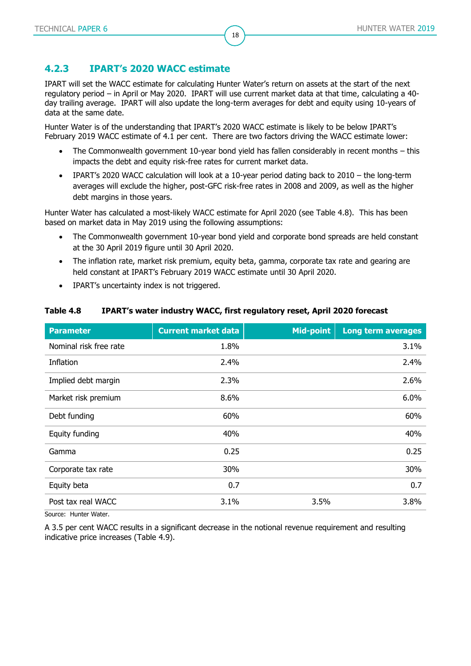### **4.2.3 IPART's 2020 WACC estimate**

IPART will set the WACC estimate for calculating Hunter Water's return on assets at the start of the next regulatory period – in April or May 2020. IPART will use current market data at that time, calculating a 40 day trailing average. IPART will also update the long-term averages for debt and equity using 10-years of data at the same date.

18

Hunter Water is of the understanding that IPART's 2020 WACC estimate is likely to be below IPART's February 2019 WACC estimate of 4.1 per cent. There are two factors driving the WACC estimate lower:

- The Commonwealth government 10-year bond yield has fallen considerably in recent months this impacts the debt and equity risk-free rates for current market data.
- IPART's 2020 WACC calculation will look at a 10-year period dating back to 2010 the long-term averages will exclude the higher, post-GFC risk-free rates in 2008 and 2009, as well as the higher debt margins in those years.

Hunter Water has calculated a most-likely WACC estimate for April 2020 (see [Table 4.8\)](#page-17-0). This has been based on market data in May 2019 using the following assumptions:

- The Commonwealth government 10-year bond yield and corporate bond spreads are held constant at the 30 April 2019 figure until 30 April 2020.
- The inflation rate, market risk premium, equity beta, gamma, corporate tax rate and gearing are held constant at IPART's February 2019 WACC estimate until 30 April 2020.
- IPART's uncertainty index is not triggered.

| <b>Parameter</b>       | <b>Current market data</b> | <b>Mid-point</b> | <b>Long term averages</b> |
|------------------------|----------------------------|------------------|---------------------------|
| Nominal risk free rate | 1.8%                       |                  | 3.1%                      |
| Inflation              | 2.4%                       |                  | 2.4%                      |
| Implied debt margin    | 2.3%                       |                  | 2.6%                      |
| Market risk premium    | 8.6%                       |                  | 6.0%                      |
| Debt funding           | 60%                        |                  | 60%                       |
| Equity funding         | 40%                        |                  | 40%                       |
| Gamma                  | 0.25                       |                  | 0.25                      |
| Corporate tax rate     | 30%                        |                  | 30%                       |
| Equity beta            | 0.7                        |                  | 0.7                       |
| Post tax real WACC     | 3.1%                       | 3.5%             | 3.8%                      |

#### <span id="page-17-0"></span>**Table 4.8 IPART's water industry WACC, first regulatory reset, April 2020 forecast**

Source: Hunter Water.

A 3.5 per cent WACC results in a significant decrease in the notional revenue requirement and resulting indicative price increases [\(Table 4.9\)](#page-18-1).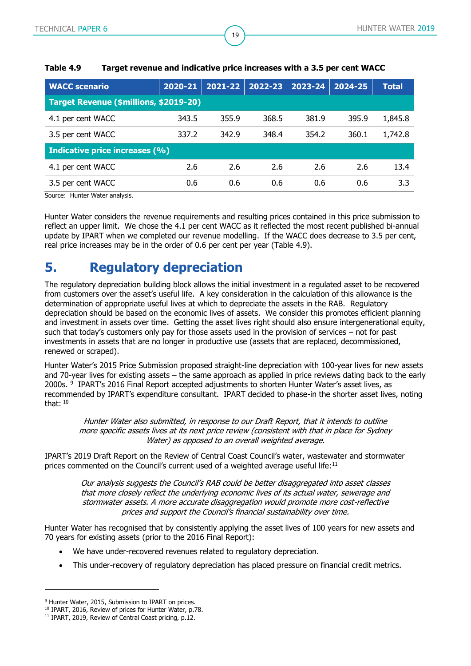| <b>WACC scenario</b>                   | 2020-21 | 2021-22 | $2022 - 23$ | 2023-24 | 2024-25 | <b>Total</b> |  |  |
|----------------------------------------|---------|---------|-------------|---------|---------|--------------|--|--|
| Target Revenue (\$millions, \$2019-20) |         |         |             |         |         |              |  |  |
| 4.1 per cent WACC                      | 343.5   | 355.9   | 368.5       | 381.9   | 395.9   | 1,845.8      |  |  |
| 3.5 per cent WACC                      | 337.2   | 342.9   | 348.4       | 354.2   | 360.1   | 1,742.8      |  |  |
| Indicative price increases (%)         |         |         |             |         |         |              |  |  |
| 4.1 per cent WACC                      | 2.6     | 2.6     | 2.6         | 2.6     | 2.6     | 13.4         |  |  |
| 3.5 per cent WACC                      | 0.6     | 0.6     | 0.6         | 0.6     | 0.6     | 3.3          |  |  |

19

#### <span id="page-18-1"></span>**Table 4.9 Target revenue and indicative price increases with a 3.5 per cent WACC**

Source: Hunter Water analysis.

Hunter Water considers the revenue requirements and resulting prices contained in this price submission to reflect an upper limit. We chose the 4.1 per cent WACC as it reflected the most recent published bi-annual update by IPART when we completed our revenue modelling. If the WACC does decrease to 3.5 per cent, real price increases may be in the order of 0.6 per cent per year [\(Table 4.9\)](#page-18-1).

# <span id="page-18-0"></span>**5. Regulatory depreciation**

The regulatory depreciation building block allows the initial investment in a regulated asset to be recovered from customers over the asset's useful life. A key consideration in the calculation of this allowance is the determination of appropriate useful lives at which to depreciate the assets in the RAB. Regulatory depreciation should be based on the economic lives of assets. We consider this promotes efficient planning and investment in assets over time. Getting the asset lives right should also ensure intergenerational equity, such that today's customers only pay for those assets used in the provision of services – not for past investments in assets that are no longer in productive use (assets that are replaced, decommissioned, renewed or scraped).

Hunter Water's 2015 Price Submission proposed straight-line depreciation with 100-year lives for new assets and 70-year lives for existing assets – the same approach as applied in price reviews dating back to the early 2000s. <sup>9</sup> IPART's 2016 Final Report accepted adjustments to shorten Hunter Water's asset lives, as recommended by IPART's expenditure consultant. IPART decided to phase-in the shorter asset lives, noting that: <sup>10</sup>

Hunter Water also submitted, in response to our Draft Report, that it intends to outline more specific assets lives at its next price review (consistent with that in place for Sydney Water) as opposed to an overall weighted average.

IPART's 2019 Draft Report on the Review of Central Coast Council's water, wastewater and stormwater prices commented on the Council's current used of a weighted average useful life:<sup>11</sup>

> Our analysis suggests the Council's RAB could be better disaggregated into asset classes that more closely reflect the underlying economic lives of its actual water, sewerage and stormwater assets. A more accurate disaggregation would promote more cost-reflective prices and support the Council's financial sustainability over time.

Hunter Water has recognised that by consistently applying the asset lives of 100 years for new assets and 70 years for existing assets (prior to the 2016 Final Report):

- We have under-recovered revenues related to regulatory depreciation.
- This under-recovery of regulatory depreciation has placed pressure on financial credit metrics.

<sup>&</sup>lt;sup>9</sup> Hunter Water, 2015, Submission to IPART on prices.

<sup>&</sup>lt;sup>10</sup> IPART, 2016, Review of prices for Hunter Water, p.78.

<sup>&</sup>lt;sup>11</sup> IPART, 2019, Review of Central Coast pricing, p.12.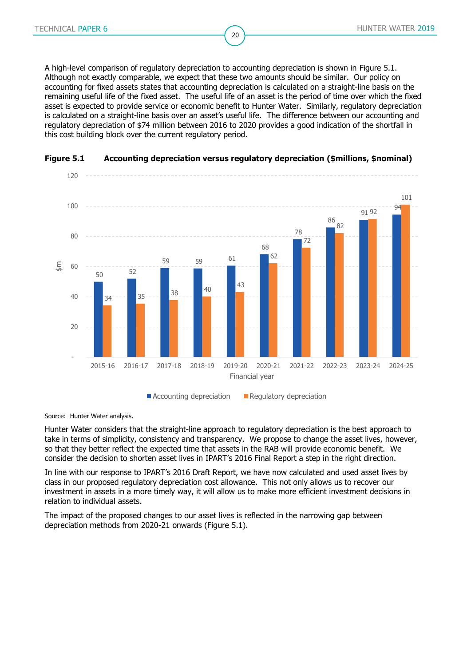A high-level comparison of regulatory depreciation to accounting depreciation is shown in [Figure 5.1.](#page-19-0) Although not exactly comparable, we expect that these two amounts should be similar. Our policy on accounting for fixed assets states that accounting depreciation is calculated on a straight-line basis on the remaining useful life of the fixed asset. The useful life of an asset is the period of time over which the fixed asset is expected to provide service or economic benefit to Hunter Water. Similarly, regulatory depreciation is calculated on a straight-line basis over an asset's useful life. The difference between our accounting and regulatory depreciation of \$74 million between 2016 to 2020 provides a good indication of the shortfall in this cost building block over the current regulatory period.

20



#### <span id="page-19-0"></span>**Figure 5.1 Accounting depreciation versus regulatory depreciation (\$millions, \$nominal)**

Source: Hunter Water analysis.

Hunter Water considers that the straight-line approach to regulatory depreciation is the best approach to take in terms of simplicity, consistency and transparency. We propose to change the asset lives, however, so that they better reflect the expected time that assets in the RAB will provide economic benefit. We consider the decision to shorten asset lives in IPART's 2016 Final Report a step in the right direction.

In line with our response to IPART's 2016 Draft Report, we have now calculated and used asset lives by class in our proposed regulatory depreciation cost allowance. This not only allows us to recover our investment in assets in a more timely way, it will allow us to make more efficient investment decisions in relation to individual assets.

The impact of the proposed changes to our asset lives is reflected in the narrowing gap between depreciation methods from 2020-21 onwards [\(Figure 5.1\)](#page-19-0).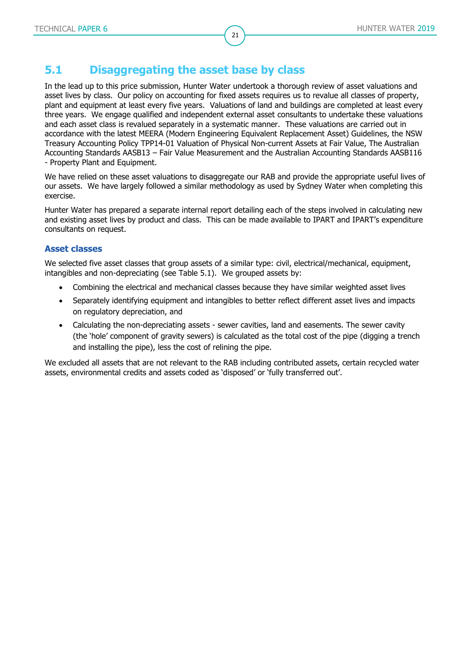### <span id="page-20-0"></span>**5.1 Disaggregating the asset base by class**

In the lead up to this price submission, Hunter Water undertook a thorough review of asset valuations and asset lives by class. Our policy on accounting for fixed assets requires us to revalue all classes of property, plant and equipment at least every five years. Valuations of land and buildings are completed at least every three years. We engage qualified and independent external asset consultants to undertake these valuations and each asset class is revalued separately in a systematic manner. These valuations are carried out in accordance with the latest MEERA (Modern Engineering Equivalent Replacement Asset) Guidelines, the NSW Treasury Accounting Policy TPP14-01 Valuation of Physical Non-current Assets at Fair Value, The Australian Accounting Standards AASB13 – Fair Value Measurement and the Australian Accounting Standards AASB116 - Property Plant and Equipment.

21

We have relied on these asset valuations to disaggregate our RAB and provide the appropriate useful lives of our assets. We have largely followed a similar methodology as used by Sydney Water when completing this exercise.

Hunter Water has prepared a separate internal report detailing each of the steps involved in calculating new and existing asset lives by product and class. This can be made available to IPART and IPART's expenditure consultants on request.

#### **Asset classes**

We selected five asset classes that group assets of a similar type: civil, electrical/mechanical, equipment, intangibles and non-depreciating (see [Table 5.1\)](#page-21-0). We grouped assets by:

- Combining the electrical and mechanical classes because they have similar weighted asset lives
- Separately identifying equipment and intangibles to better reflect different asset lives and impacts on regulatory depreciation, and
- Calculating the non-depreciating assets sewer cavities, land and easements. The sewer cavity (the 'hole' component of gravity sewers) is calculated as the total cost of the pipe (digging a trench and installing the pipe), less the cost of relining the pipe.

We excluded all assets that are not relevant to the RAB including contributed assets, certain recycled water assets, environmental credits and assets coded as 'disposed' or 'fully transferred out'.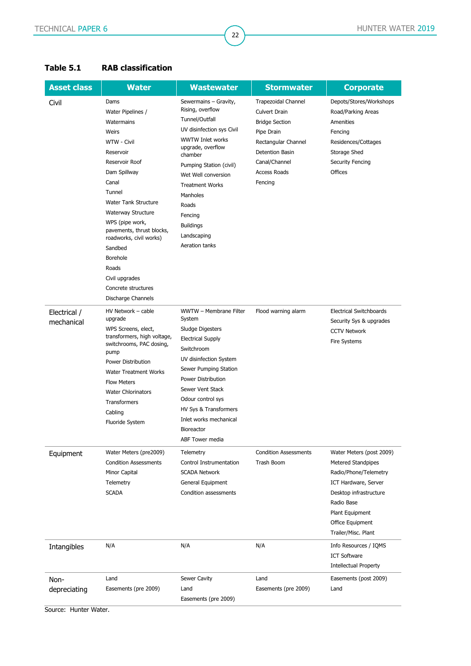| <b>Asset class</b> | <b>Water</b>                                            | <b>Wastewater</b>                         | <b>Stormwater</b>                    | <b>Corporate</b>                   |
|--------------------|---------------------------------------------------------|-------------------------------------------|--------------------------------------|------------------------------------|
|                    |                                                         |                                           |                                      |                                    |
| Civil              | Dams                                                    | Sewermains - Gravity,<br>Rising, overflow | <b>Trapezoidal Channel</b>           | Depots/Stores/Workshops            |
|                    | Water Pipelines /                                       | Tunnel/Outfall                            | Culvert Drain                        | Road/Parking Areas                 |
|                    | Watermains                                              | UV disinfection sys Civil                 | <b>Bridge Section</b>                | Amenities                          |
|                    | Weirs                                                   | <b>WWTW Inlet works</b>                   | Pipe Drain                           | Fencing                            |
|                    | WTW - Civil                                             | upgrade, overflow                         | Rectangular Channel                  | Residences/Cottages                |
|                    | Reservoir                                               | chamber                                   | Detention Basin                      | Storage Shed                       |
|                    | Reservoir Roof                                          | Pumping Station (civil)                   | Canal/Channel<br><b>Access Roads</b> | <b>Security Fencing</b><br>Offices |
|                    | Dam Spillway<br>Canal                                   | Wet Well conversion                       |                                      |                                    |
|                    | Tunnel                                                  | <b>Treatment Works</b>                    | Fencing                              |                                    |
|                    | <b>Water Tank Structure</b>                             | Manholes                                  |                                      |                                    |
|                    | Waterway Structure                                      | Roads                                     |                                      |                                    |
|                    |                                                         | Fencing                                   |                                      |                                    |
|                    | WPS (pipe work,<br>pavements, thrust blocks,            | <b>Buildings</b>                          |                                      |                                    |
|                    | roadworks, civil works)                                 | Landscaping                               |                                      |                                    |
|                    | Sandbed                                                 | Aeration tanks                            |                                      |                                    |
|                    | Borehole                                                |                                           |                                      |                                    |
|                    | Roads                                                   |                                           |                                      |                                    |
|                    | Civil upgrades                                          |                                           |                                      |                                    |
|                    | Concrete structures                                     |                                           |                                      |                                    |
|                    | Discharge Channels                                      |                                           |                                      |                                    |
| Electrical /       | HV Network - cable                                      | WWTW - Membrane Filter                    | Flood warning alarm                  | <b>Electrical Switchboards</b>     |
| mechanical         | upgrade                                                 | System                                    |                                      | Security Sys & upgrades            |
|                    | WPS Screens, elect,                                     | Sludge Digesters                          |                                      | <b>CCTV Network</b>                |
|                    | transformers, high voltage,<br>switchrooms, PAC dosing, | <b>Electrical Supply</b>                  |                                      | Fire Systems                       |
|                    | pump                                                    | Switchroom                                |                                      |                                    |
|                    | Power Distribution                                      | UV disinfection System                    |                                      |                                    |
|                    | <b>Water Treatment Works</b>                            | Sewer Pumping Station                     |                                      |                                    |
|                    | <b>Flow Meters</b>                                      | Power Distribution                        |                                      |                                    |
|                    | <b>Water Chlorinators</b>                               | Sewer Vent Stack                          |                                      |                                    |
|                    | Transformers                                            | Odour control sys                         |                                      |                                    |
|                    | Cabling                                                 | HV Sys & Transformers                     |                                      |                                    |
|                    | <b>Fluoride System</b>                                  | Inlet works mechanical                    |                                      |                                    |
|                    |                                                         | Bioreactor                                |                                      |                                    |
|                    |                                                         | <b>ABF Tower media</b>                    |                                      |                                    |
| Equipment          | Water Meters (pre2009)                                  | Telemetry                                 | <b>Condition Assessments</b>         | Water Meters (post 2009)           |
|                    | <b>Condition Assessments</b>                            | Control Instrumentation                   | Trash Boom                           | <b>Metered Standpipes</b>          |
|                    | Minor Capital                                           | <b>SCADA Network</b>                      |                                      | Radio/Phone/Telemetry              |
|                    | Telemetry                                               | General Equipment                         |                                      | ICT Hardware, Server               |
|                    | <b>SCADA</b>                                            | Condition assessments                     |                                      | Desktop infrastructure             |
|                    |                                                         |                                           |                                      | Radio Base                         |
|                    |                                                         |                                           |                                      | Plant Equipment                    |
|                    |                                                         |                                           |                                      | Office Equipment                   |
|                    |                                                         |                                           |                                      | Trailer/Misc. Plant                |
| Intangibles        | N/A                                                     | N/A                                       | N/A                                  | Info Resources / IQMS              |
|                    |                                                         |                                           |                                      | <b>ICT Software</b>                |
|                    |                                                         |                                           |                                      | <b>Intellectual Property</b>       |
| Non-               | Land                                                    | Sewer Cavity                              | Land                                 | Easements (post 2009)              |
| depreciating       | Easements (pre 2009)                                    | Land                                      | Easements (pre 2009)                 | Land                               |
|                    |                                                         | Easements (pre 2009)                      |                                      |                                    |

22

#### <span id="page-21-0"></span>**Table 5.1 RAB classification**

Source: Hunter Water.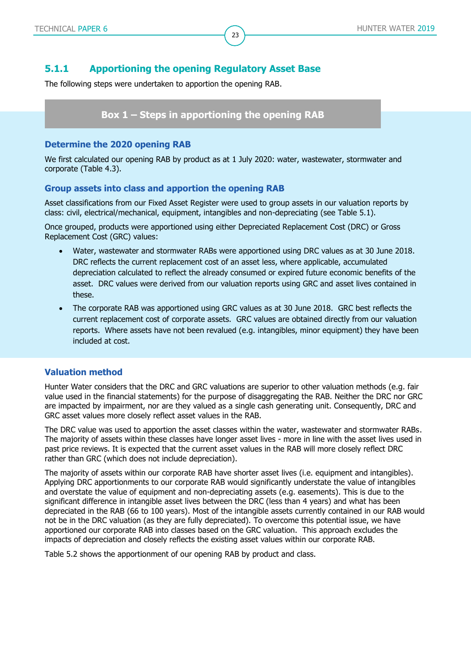#### **5.1.1 Apportioning the opening Regulatory Asset Base**

The following steps were undertaken to apportion the opening RAB.

#### **Box 1 – Steps in apportioning the opening RAB**

#### **Determine the 2020 opening RAB**

We first calculated our opening RAB by product as at 1 July 2020: water, wastewater, stormwater and corporate [\(Table 4.3\)](#page-12-1).

23

#### **Group assets into class and apportion the opening RAB**

Asset classifications from our Fixed Asset Register were used to group assets in our valuation reports by class: civil, electrical/mechanical, equipment, intangibles and non-depreciating (see [Table 5.1\)](#page-21-0).

Once grouped, products were apportioned using either Depreciated Replacement Cost (DRC) or Gross Replacement Cost (GRC) values:

- Water, wastewater and stormwater RABs were apportioned using DRC values as at 30 June 2018. DRC reflects the current replacement cost of an asset less, where applicable, accumulated depreciation calculated to reflect the already consumed or expired future economic benefits of the asset. DRC values were derived from our valuation reports using GRC and asset lives contained in these.
- The corporate RAB was apportioned using GRC values as at 30 June 2018. GRC best reflects the current replacement cost of corporate assets. GRC values are obtained directly from our valuation reports. Where assets have not been revalued (e.g. intangibles, minor equipment) they have been included at cost.

#### **Valuation method**

Hunter Water considers that the DRC and GRC valuations are superior to other valuation methods (e.g. fair value used in the financial statements) for the purpose of disaggregating the RAB. Neither the DRC nor GRC are impacted by impairment, nor are they valued as a single cash generating unit. Consequently, DRC and GRC asset values more closely reflect asset values in the RAB.

The DRC value was used to apportion the asset classes within the water, wastewater and stormwater RABs. The majority of assets within these classes have longer asset lives - more in line with the asset lives used in past price reviews. It is expected that the current asset values in the RAB will more closely reflect DRC rather than GRC (which does not include depreciation).

The majority of assets within our corporate RAB have shorter asset lives (i.e. equipment and intangibles). Applying DRC apportionments to our corporate RAB would significantly understate the value of intangibles and overstate the value of equipment and non-depreciating assets (e.g. easements). This is due to the significant difference in intangible asset lives between the DRC (less than 4 years) and what has been depreciated in the RAB (66 to 100 years). Most of the intangible assets currently contained in our RAB would not be in the DRC valuation (as they are fully depreciated). To overcome this potential issue, we have apportioned our corporate RAB into classes based on the GRC valuation. This approach excludes the impacts of depreciation and closely reflects the existing asset values within our corporate RAB.

[Table 5.2](#page-23-0) shows the apportionment of our opening RAB by product and class.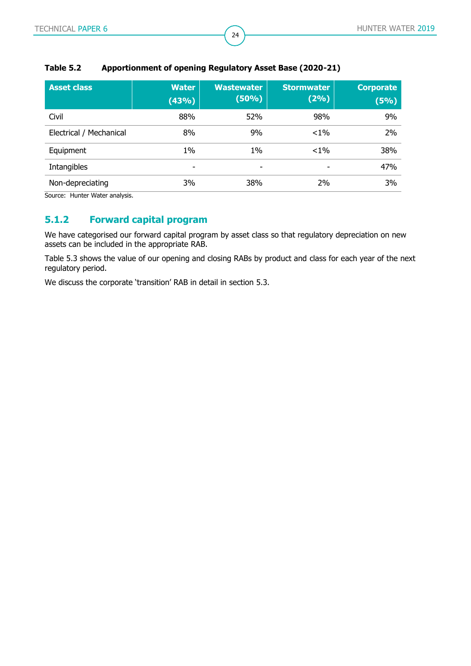| <b>Asset class</b>      | <b>Water</b><br>(43%) | <b>Wastewater</b><br>(50%) | <b>Stormwater</b><br>(2%) | <b>Corporate</b><br>(5%) |
|-------------------------|-----------------------|----------------------------|---------------------------|--------------------------|
| Civil                   | 88%                   | 52%                        | 98%                       | 9%                       |
| Electrical / Mechanical | 8%                    | 9%                         | $< 1\%$                   | 2%                       |
| Equipment               | $1\%$                 | $1\%$                      | $< 1\%$                   | 38%                      |
| Intangibles             | ۰                     | ۰                          | ٠                         | 47%                      |
| Non-depreciating        | 3%                    | 38%                        | 2%                        | 3%                       |

24

#### <span id="page-23-0"></span>**Table 5.2 Apportionment of opening Regulatory Asset Base (2020-21)**

Source: Hunter Water analysis.

## **5.1.2 Forward capital program**

We have categorised our forward capital program by asset class so that regulatory depreciation on new assets can be included in the appropriate RAB.

[Table 5.3](#page-24-0) shows the value of our opening and closing RABs by product and class for each year of the next regulatory period.

We discuss the corporate 'transition' RAB in detail in section 5.3.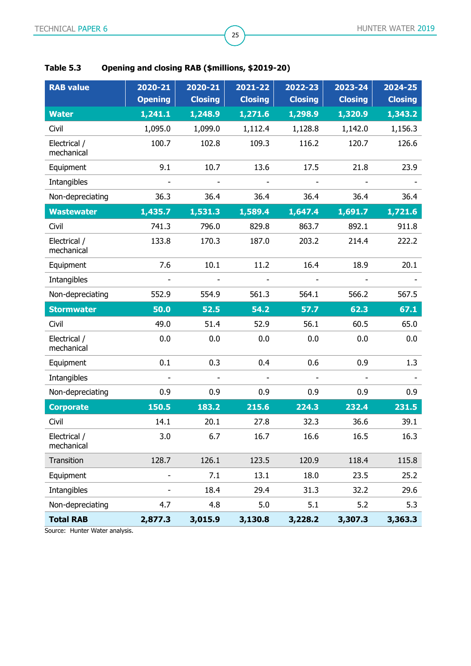| <b>RAB value</b>           | 2020-21<br><b>Opening</b> | 2020-21<br><b>Closing</b> | 2021-22<br><b>Closing</b> | 2022-23<br><b>Closing</b> | 2023-24<br><b>Closing</b> | 2024-25<br><b>Closing</b> |
|----------------------------|---------------------------|---------------------------|---------------------------|---------------------------|---------------------------|---------------------------|
| <b>Water</b>               | 1,241.1                   | 1,248.9                   | 1,271.6                   | 1,298.9                   | 1,320.9                   | 1,343.2                   |
| Civil                      | 1,095.0                   | 1,099.0                   | 1,112.4                   | 1,128.8                   | 1,142.0                   | 1,156.3                   |
| Electrical /<br>mechanical | 100.7                     | 102.8                     | 109.3                     | 116.2                     | 120.7                     | 126.6                     |
| Equipment                  | 9.1                       | 10.7                      | 13.6                      | 17.5                      | 21.8                      | 23.9                      |
| Intangibles                |                           |                           |                           |                           |                           |                           |
| Non-depreciating           | 36.3                      | 36.4                      | 36.4                      | 36.4                      | 36.4                      | 36.4                      |
| <b>Wastewater</b>          | 1,435.7                   | 1,531.3                   | 1,589.4                   | 1,647.4                   | 1,691.7                   | 1,721.6                   |
| Civil                      | 741.3                     | 796.0                     | 829.8                     | 863.7                     | 892.1                     | 911.8                     |
| Electrical /<br>mechanical | 133.8                     | 170.3                     | 187.0                     | 203.2                     | 214.4                     | 222.2                     |
| Equipment                  | 7.6                       | 10.1                      | 11.2                      | 16.4                      | 18.9                      | 20.1                      |
| Intangibles                |                           |                           |                           |                           |                           |                           |
| Non-depreciating           | 552.9                     | 554.9                     | 561.3                     | 564.1                     | 566.2                     | 567.5                     |
| <b>Stormwater</b>          | 50.0                      | 52.5                      | 54.2                      | 57.7                      | 62.3                      | 67.1                      |
| Civil                      | 49.0                      | 51.4                      | 52.9                      | 56.1                      | 60.5                      | 65.0                      |
| Electrical /<br>mechanical | 0.0                       | 0.0                       | 0.0                       | 0.0                       | 0.0                       | 0.0                       |
| Equipment                  | 0.1                       | 0.3                       | 0.4                       | 0.6                       | 0.9                       | 1.3                       |
| Intangibles                |                           | $\overline{\phantom{a}}$  |                           |                           |                           |                           |
| Non-depreciating           | 0.9                       | 0.9                       | 0.9                       | 0.9                       | 0.9                       | 0.9                       |
| <b>Corporate</b>           | 150.5                     | 183.2                     | 215.6                     | 224.3                     | 232.4                     | 231.5                     |
| Civil                      | 14.1                      | 20.1                      | 27.8                      | 32.3                      | 36.6                      | 39.1                      |
| Electrical /<br>mechanical | 3.0                       | 6.7                       | 16.7                      | 16.6                      | 16.5                      | 16.3                      |
|                            |                           |                           |                           |                           |                           |                           |
| Transition                 | 128.7                     | 126.1                     | 123.5                     | 120.9                     | 118.4                     | 115.8                     |
| Equipment                  |                           | 7.1                       | 13.1                      | 18.0                      | 23.5                      | 25.2                      |
| Intangibles                |                           | 18.4                      | 29.4                      | 31.3                      | 32.2                      | 29.6                      |
| Non-depreciating           | 4.7                       | 4.8                       | 5.0                       | 5.1                       | 5.2                       | 5.3                       |

25

## <span id="page-24-0"></span>**Table 5.3 Opening and closing RAB (\$millions, \$2019-20)**

Source: Hunter Water analysis.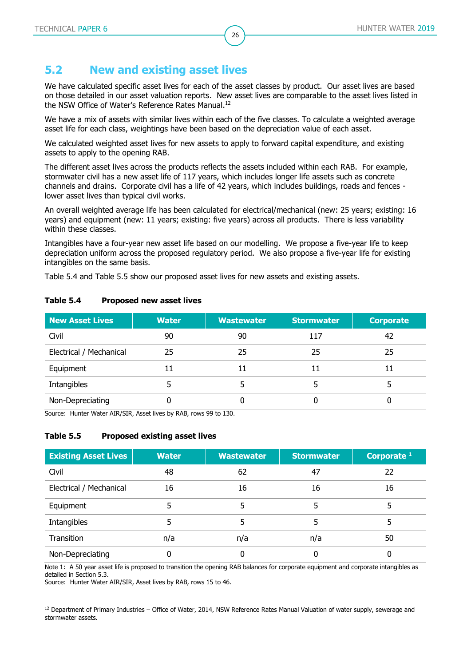## <span id="page-25-0"></span>**5.2 New and existing asset lives**

We have calculated specific asset lives for each of the asset classes by product. Our asset lives are based on those detailed in our asset valuation reports. New asset lives are comparable to the asset lives listed in the NSW Office of Water's Reference Rates Manual.<sup>12</sup>

26

We have a mix of assets with similar lives within each of the five classes. To calculate a weighted average asset life for each class, weightings have been based on the depreciation value of each asset.

We calculated weighted asset lives for new assets to apply to forward capital expenditure, and existing assets to apply to the opening RAB.

The different asset lives across the products reflects the assets included within each RAB. For example, stormwater civil has a new asset life of 117 years, which includes longer life assets such as concrete channels and drains. Corporate civil has a life of 42 years, which includes buildings, roads and fences lower asset lives than typical civil works.

An overall weighted average life has been calculated for electrical/mechanical (new: 25 years; existing: 16 years) and equipment (new: 11 years; existing: five years) across all products. There is less variability within these classes.

Intangibles have a four-year new asset life based on our modelling. We propose a five-year life to keep depreciation uniform across the proposed regulatory period. We also propose a five-year life for existing intangibles on the same basis.

[Table 5.4](#page-25-1) and [Table 5.5](#page-25-2) show our proposed asset lives for new assets and existing assets.

| <b>New Asset Lives</b>  | <b>Water</b> | <b>Wastewater</b> | <b>Stormwater</b> | <b>Corporate</b> |
|-------------------------|--------------|-------------------|-------------------|------------------|
| Civil                   | 90           | 90                | 117               | 42               |
| Electrical / Mechanical | 25           | 25                | 25                | 25               |
| Equipment               | 11           | 11                |                   | 11               |
| Intangibles             |              |                   |                   |                  |
| Non-Depreciating        |              |                   |                   |                  |

#### <span id="page-25-1"></span>**Table 5.4 Proposed new asset lives**

<span id="page-25-2"></span>Source: Hunter Water AIR/SIR, Asset lives by RAB, rows 99 to 130.

#### **Table 5.5 Proposed existing asset lives**

| <b>Existing Asset Lives</b> | <b>Water</b> | <b>Wastewater</b> | <b>Stormwater</b> | Corporate $1$ |
|-----------------------------|--------------|-------------------|-------------------|---------------|
| Civil                       | 48           | 62                | 47                | 22            |
| Electrical / Mechanical     | 16           | 16                | 16                | 16            |
| Equipment                   |              | 5                 |                   |               |
| Intangibles                 | 5            | 5                 |                   |               |
| Transition                  | n/a          | n/a               | n/a               | 50            |
| Non-Depreciating            |              | 0                 |                   |               |

Note 1: A 50 year asset life is proposed to transition the opening RAB balances for corporate equipment and corporate intangibles as detailed in Section 5.3.

Source: Hunter Water AIR/SIR, Asset lives by RAB, rows 15 to 46.

<sup>&</sup>lt;sup>12</sup> Department of Primary Industries – Office of Water, 2014, NSW Reference Rates Manual Valuation of water supply, sewerage and stormwater assets.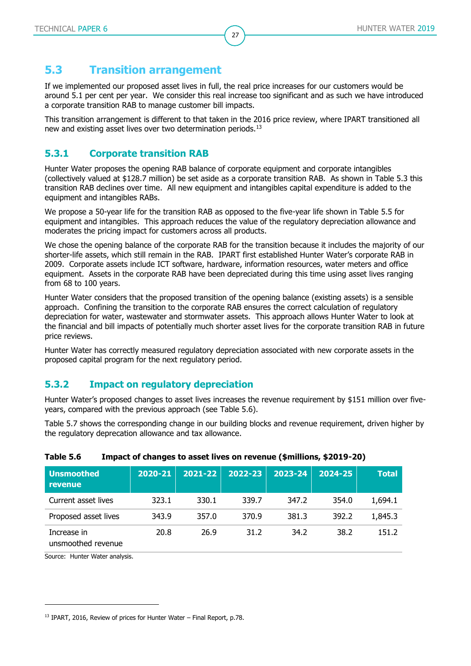### <span id="page-26-0"></span>**5.3 Transition arrangement**

If we implemented our proposed asset lives in full, the real price increases for our customers would be around 5.1 per cent per year. We consider this real increase too significant and as such we have introduced a corporate transition RAB to manage customer bill impacts.

27

This transition arrangement is different to that taken in the 2016 price review, where IPART transitioned all new and existing asset lives over two determination periods.<sup>13</sup>

#### **5.3.1 Corporate transition RAB**

Hunter Water proposes the opening RAB balance of corporate equipment and corporate intangibles (collectively valued at \$128.7 million) be set aside as a corporate transition RAB. As shown in [Table 5.3](#page-24-0) this transition RAB declines over time. All new equipment and intangibles capital expenditure is added to the equipment and intangibles RABs.

We propose a 50-year life for the transition RAB as opposed to the five-year life shown in [Table 5.5](#page-25-2) for equipment and intangibles. This approach reduces the value of the regulatory depreciation allowance and moderates the pricing impact for customers across all products.

We chose the opening balance of the corporate RAB for the transition because it includes the majority of our shorter-life assets, which still remain in the RAB. IPART first established Hunter Water's corporate RAB in 2009. Corporate assets include ICT software, hardware, information resources, water meters and office equipment. Assets in the corporate RAB have been depreciated during this time using asset lives ranging from 68 to 100 years.

Hunter Water considers that the proposed transition of the opening balance (existing assets) is a sensible approach. Confining the transition to the corporate RAB ensures the correct calculation of regulatory depreciation for water, wastewater and stormwater assets. This approach allows Hunter Water to look at the financial and bill impacts of potentially much shorter asset lives for the corporate transition RAB in future price reviews.

Hunter Water has correctly measured regulatory depreciation associated with new corporate assets in the proposed capital program for the next regulatory period.

#### **5.3.2 Impact on regulatory depreciation**

Hunter Water's proposed changes to asset lives increases the revenue requirement by \$151 million over fiveyears, compared with the previous approach (see [Table 5.6\)](#page-26-1).

[Table 5.7](#page-27-0) shows the corresponding change in our building blocks and revenue requirement, driven higher by the regulatory deprecation allowance and tax allowance.

| <b>Unsmoothed</b><br><b>revenue</b> | 2020-21 | 2021-22 | 2022-23 | 2023-24 | 2024-25 | <b>Total</b> |
|-------------------------------------|---------|---------|---------|---------|---------|--------------|
| Current asset lives                 | 323.1   | 330.1   | 339.7   | 347.2   | 354.0   | 1,694.1      |
| Proposed asset lives                | 343.9   | 357.0   | 370.9   | 381.3   | 392.2   | 1,845.3      |
| Increase in<br>unsmoothed revenue   | 20.8    | 26.9    | 31.2    | 34.2    | 38.2    | 151.2        |

<span id="page-26-1"></span>

| Table 5.6 |  | Impact of changes to asset lives on revenue (\$millions, \$2019-20) |  |
|-----------|--|---------------------------------------------------------------------|--|
|-----------|--|---------------------------------------------------------------------|--|

Source: Hunter Water analysis.

<sup>&</sup>lt;sup>13</sup> IPART, 2016, Review of prices for Hunter Water – Final Report, p.78.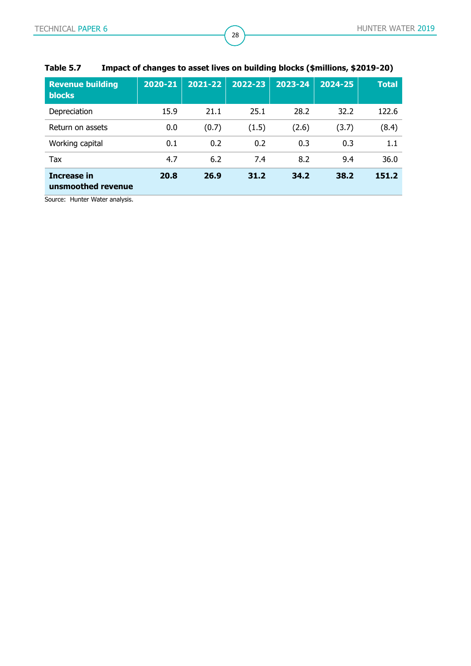| <b>Revenue building</b><br><b>blocks</b> | 2020-21 | 2021-22 | 2022-23 | 2023-24 | $2024 - 25$ | <b>Total</b> |
|------------------------------------------|---------|---------|---------|---------|-------------|--------------|
| Depreciation                             | 15.9    | 21.1    | 25.1    | 28.2    | 32.2        | 122.6        |
| Return on assets                         | 0.0     | (0.7)   | (1.5)   | (2.6)   | (3.7)       | (8.4)        |
| Working capital                          | 0.1     | 0.2     | 0.2     | 0.3     | 0.3         | 1.1          |
| Tax                                      | 4.7     | 6.2     | 7.4     | 8.2     | 9.4         | 36.0         |
| Increase in<br>unsmoothed revenue        | 20.8    | 26.9    | 31.2    | 34.2    | 38.2        | 151.2        |

### <span id="page-27-0"></span>**Table 5.7 Impact of changes to asset lives on building blocks (\$millions, \$2019-20)**

28

Source: Hunter Water analysis.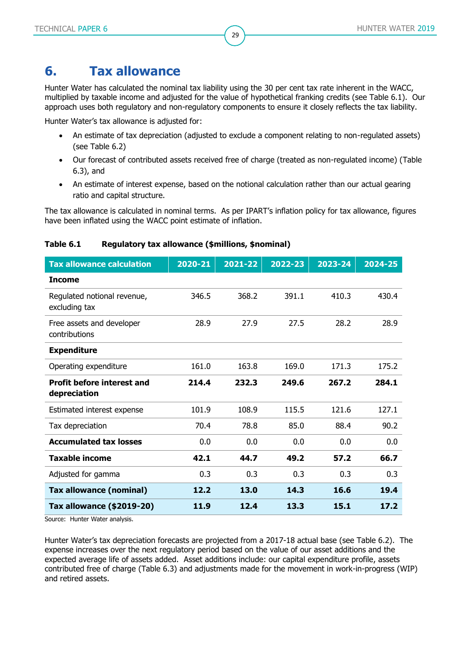# <span id="page-28-0"></span>**6. Tax allowance**

Hunter Water has calculated the nominal tax liability using the 30 per cent tax rate inherent in the WACC, multiplied by taxable income and adjusted for the value of hypothetical franking credits (see [Table 6.1\)](#page-28-1). Our approach uses both regulatory and non-regulatory components to ensure it closely reflects the tax liability.

29

Hunter Water's tax allowance is adjusted for:

- An estimate of tax depreciation (adjusted to exclude a component relating to non-regulated assets) (see [Table 6.2\)](#page-29-0)
- Our forecast of contributed assets received free of charge (treated as non-regulated income) [\(Table](#page-29-1)  [6.3\)](#page-29-1), and
- An estimate of interest expense, based on the notional calculation rather than our actual gearing ratio and capital structure.

The tax allowance is calculated in nominal terms. As per IPART's inflation policy for tax allowance, figures have been inflated using the WACC point estimate of inflation.

| <b>Tax allowance calculation</b>                  | 2020-21 | 2021-22 | 2022-23 | 2023-24 | 2024-25 |
|---------------------------------------------------|---------|---------|---------|---------|---------|
| <b>Income</b>                                     |         |         |         |         |         |
| Regulated notional revenue,<br>excluding tax      | 346.5   | 368.2   | 391.1   | 410.3   | 430.4   |
| Free assets and developer<br>contributions        | 28.9    | 27.9    | 27.5    | 28.2    | 28.9    |
| <b>Expenditure</b>                                |         |         |         |         |         |
| Operating expenditure                             | 161.0   | 163.8   | 169.0   | 171.3   | 175.2   |
| <b>Profit before interest and</b><br>depreciation | 214.4   | 232.3   | 249.6   | 267.2   | 284.1   |
| Estimated interest expense                        | 101.9   | 108.9   | 115.5   | 121.6   | 127.1   |
| Tax depreciation                                  | 70.4    | 78.8    | 85.0    | 88.4    | 90.2    |
| <b>Accumulated tax losses</b>                     | 0.0     | 0.0     | 0.0     | 0.0     | 0.0     |
| <b>Taxable income</b>                             | 42.1    | 44.7    | 49.2    | 57.2    | 66.7    |
| Adjusted for gamma                                | 0.3     | 0.3     | 0.3     | 0.3     | 0.3     |
| <b>Tax allowance (nominal)</b>                    | 12.2    | 13.0    | 14.3    | 16.6    | 19.4    |
| Tax allowance (\$2019-20)                         | 11.9    | 12.4    | 13.3    | 15.1    | 17.2    |

#### <span id="page-28-1"></span>**Table 6.1 Regulatory tax allowance (\$millions, \$nominal)**

Source: Hunter Water analysis.

Hunter Water's tax depreciation forecasts are projected from a 2017-18 actual base (see [Table 6.2\)](#page-29-0). The expense increases over the next regulatory period based on the value of our asset additions and the expected average life of assets added. Asset additions include: our capital expenditure profile, assets contributed free of charge [\(Table 6.3\)](#page-29-1) and adjustments made for the movement in work-in-progress (WIP) and retired assets.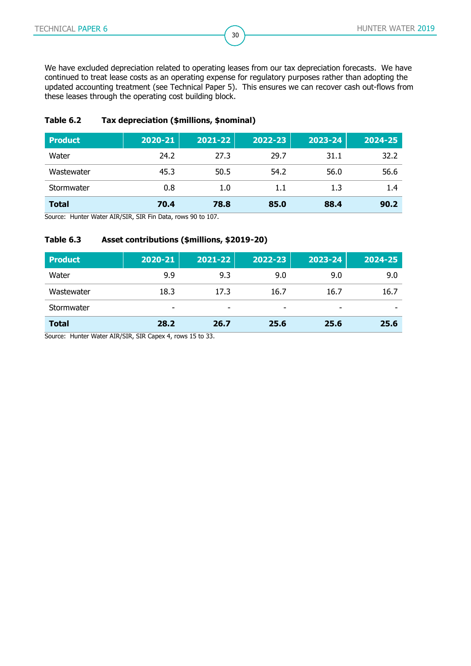We have excluded depreciation related to operating leases from our tax depreciation forecasts. We have continued to treat lease costs as an operating expense for regulatory purposes rather than adopting the updated accounting treatment (see Technical Paper 5). This ensures we can recover cash out-flows from these leases through the operating cost building block.

30

#### <span id="page-29-0"></span>**Table 6.2 Tax depreciation (\$millions, \$nominal)**

| <b>Product</b> | 2020-21 | 2021-22 | 2022-23 | 2023-24 | 2024-25 |
|----------------|---------|---------|---------|---------|---------|
| Water          | 24.2    | 27.3    | 29.7    | 31.1    | 32.2    |
| Wastewater     | 45.3    | 50.5    | 54.2    | 56.0    | 56.6    |
| Stormwater     | 0.8     | 1.0     | 1.1     | 1.3     | 1.4     |
| <b>Total</b>   | 70.4    | 78.8    | 85.0    | 88.4    | 90.2    |

<span id="page-29-1"></span>Source: Hunter Water AIR/SIR, SIR Fin Data, rows 90 to 107.

#### **Table 6.3 Asset contributions (\$millions, \$2019-20)**

| <b>Product</b> | 2020-21 | 2021-22                  | 2022-23 | 2023-24 | 2024-25 |
|----------------|---------|--------------------------|---------|---------|---------|
| Water          | 9.9     | 9.3                      | 9.0     | 9.0     | 9.0     |
| Wastewater     | 18.3    | 17.3                     | 16.7    | 16.7    | 16.7    |
| Stormwater     | -       | $\overline{\phantom{a}}$ | -       |         |         |
| <b>Total</b>   | 28.2    | 26.7                     | 25.6    | 25.6    | 25.6    |

Source: Hunter Water AIR/SIR, SIR Capex 4, rows 15 to 33.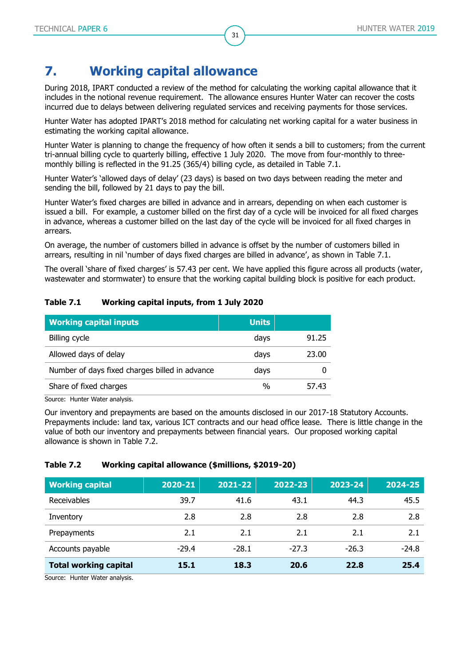# <span id="page-30-0"></span>**7. Working capital allowance**

During 2018, IPART conducted a review of the method for calculating the working capital allowance that it includes in the notional revenue requirement. The allowance ensures Hunter Water can recover the costs incurred due to delays between delivering regulated services and receiving payments for those services.

31

Hunter Water has adopted IPART's 2018 method for calculating net working capital for a water business in estimating the working capital allowance.

Hunter Water is planning to change the frequency of how often it sends a bill to customers; from the current tri-annual billing cycle to quarterly billing, effective 1 July 2020. The move from four-monthly to threemonthly billing is reflected in the 91.25 (365/4) billing cycle, as detailed in [Table 7.1.](#page-30-1)

Hunter Water's 'allowed days of delay' (23 days) is based on two days between reading the meter and sending the bill, followed by 21 days to pay the bill.

Hunter Water's fixed charges are billed in advance and in arrears, depending on when each customer is issued a bill. For example, a customer billed on the first day of a cycle will be invoiced for all fixed charges in advance, whereas a customer billed on the last day of the cycle will be invoiced for all fixed charges in arrears.

On average, the number of customers billed in advance is offset by the number of customers billed in arrears, resulting in nil 'number of days fixed charges are billed in advance', as shown in [Table 7.1.](#page-30-1)

The overall 'share of fixed charges' is 57.43 per cent. We have applied this figure across all products (water, wastewater and stormwater) to ensure that the working capital building block is positive for each product.

#### <span id="page-30-1"></span>**Table 7.1 Working capital inputs, from 1 July 2020**

| <b>Working capital inputs</b>                  | <b>Units</b>  |       |
|------------------------------------------------|---------------|-------|
| Billing cycle                                  | days          | 91.25 |
| Allowed days of delay                          | days          | 23.00 |
| Number of days fixed charges billed in advance | days          |       |
| Share of fixed charges                         | $\frac{0}{0}$ | 57.43 |

Source: Hunter Water analysis.

Our inventory and prepayments are based on the amounts disclosed in our 2017-18 Statutory Accounts. Prepayments include: land tax, various ICT contracts and our head office lease. There is little change in the value of both our inventory and prepayments between financial years. Our proposed working capital allowance is shown in [Table 7.2.](#page-30-2)

#### <span id="page-30-2"></span>**Table 7.2 Working capital allowance (\$millions, \$2019-20)**

| <b>Working capital</b>        | 2020-21 | 2021-22 | 2022-23 | 2023-24 | 2024-25 |
|-------------------------------|---------|---------|---------|---------|---------|
| Receivables                   | 39.7    | 41.6    | 43.1    | 44.3    | 45.5    |
| Inventory                     | 2.8     | 2.8     | 2.8     | 2.8     | 2.8     |
| Prepayments                   | 2.1     | 2.1     | 2.1     | 2.1     | 2.1     |
| Accounts payable              | $-29.4$ | $-28.1$ | $-27.3$ | $-26.3$ | $-24.8$ |
| <b>Total working capital</b>  | 15.1    | 18.3    | 20.6    | 22.8    | 25.4    |
| Cource: Hunter Water analycic |         |         |         |         |         |

Source: Hunter Water analysis.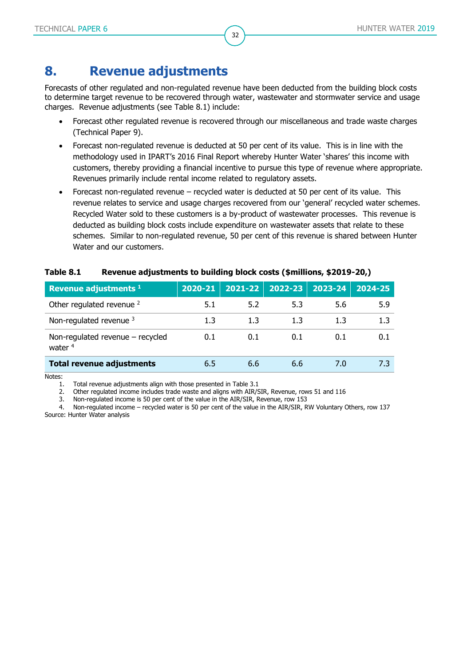# <span id="page-31-0"></span>**8. Revenue adjustments**

Forecasts of other regulated and non-regulated revenue have been deducted from the building block costs to determine target revenue to be recovered through water, wastewater and stormwater service and usage charges. Revenue adjustments (see [Table 8.1\)](#page-31-1) include:

- Forecast other regulated revenue is recovered through our miscellaneous and trade waste charges (Technical Paper 9).
- Forecast non-regulated revenue is deducted at 50 per cent of its value. This is in line with the methodology used in IPART's 2016 Final Report whereby Hunter Water 'shares' this income with customers, thereby providing a financial incentive to pursue this type of revenue where appropriate. Revenues primarily include rental income related to regulatory assets.
- Forecast non-regulated revenue recycled water is deducted at 50 per cent of its value. This revenue relates to service and usage charges recovered from our 'general' recycled water schemes. Recycled Water sold to these customers is a by-product of wastewater processes. This revenue is deducted as building block costs include expenditure on wastewater assets that relate to these schemes. Similar to non-regulated revenue, 50 per cent of this revenue is shared between Hunter Water and our customers.

| Revenue adjustments 1                           | 2020-21 |     |     | $2021 - 22$ 2022-23 2023-24 | $2024 - 25$ |
|-------------------------------------------------|---------|-----|-----|-----------------------------|-------------|
| Other regulated revenue <sup>2</sup>            | 5.1     | 5.2 | 5.3 | 5.6                         | 5.9         |
| Non-regulated revenue 3                         | 1.3     | 1.3 | 1.3 | 1.3                         | 1.3         |
| Non-regulated revenue $-$ recycled<br>water $4$ | 0.1     | 0.1 | 0.1 | 0.1                         | 0.1         |
| <b>Total revenue adjustments</b>                | 6.5     | 6.6 | 6.6 | 7.0                         | 7.3         |

#### <span id="page-31-1"></span>**Table 8.1 Revenue adjustments to building block costs (\$millions, \$2019-20,)**

Notes:

1. Total revenue adjustments align with those presented in [Table 3.1](#page-7-2)

2. Other regulated income includes trade waste and aligns with AIR/SIR, Revenue, rows 51 and 116

3. Non-regulated income is 50 per cent of the value in the AIR/SIR, Revenue, row 153

4. Non-regulated income – recycled water is 50 per cent of the value in the AIR/SIR, RW Voluntary Others, row 137 Source: Hunter Water analysis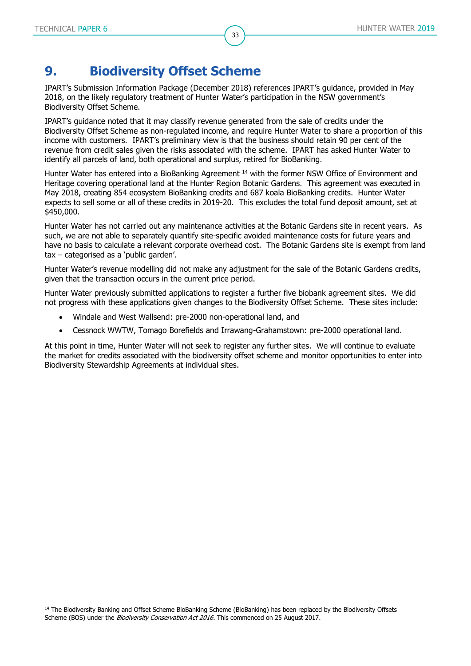-

# <span id="page-32-0"></span>**9. Biodiversity Offset Scheme**

IPART's Submission Information Package (December 2018) references IPART's guidance, provided in May 2018, on the likely regulatory treatment of Hunter Water's participation in the NSW government's Biodiversity Offset Scheme.

33

IPART's guidance noted that it may classify revenue generated from the sale of credits under the Biodiversity Offset Scheme as non-regulated income, and require Hunter Water to share a proportion of this income with customers. IPART's preliminary view is that the business should retain 90 per cent of the revenue from credit sales given the risks associated with the scheme. IPART has asked Hunter Water to identify all parcels of land, both operational and surplus, retired for BioBanking.

Hunter Water has entered into a BioBanking Agreement <sup>14</sup> with the former NSW Office of Environment and Heritage covering operational land at the Hunter Region Botanic Gardens. This agreement was executed in May 2018, creating 854 ecosystem BioBanking credits and 687 koala BioBanking credits. Hunter Water expects to sell some or all of these credits in 2019-20. This excludes the total fund deposit amount, set at \$450,000.

Hunter Water has not carried out any maintenance activities at the Botanic Gardens site in recent years. As such, we are not able to separately quantify site-specific avoided maintenance costs for future years and have no basis to calculate a relevant corporate overhead cost. The Botanic Gardens site is exempt from land tax – categorised as a 'public garden'.

Hunter Water's revenue modelling did not make any adjustment for the sale of the Botanic Gardens credits, given that the transaction occurs in the current price period.

Hunter Water previously submitted applications to register a further five biobank agreement sites. We did not progress with these applications given changes to the Biodiversity Offset Scheme. These sites include:

- Windale and West Wallsend: pre-2000 non-operational land, and
- Cessnock WWTW, Tomago Borefields and Irrawang-Grahamstown: pre-2000 operational land.

At this point in time, Hunter Water will not seek to register any further sites. We will continue to evaluate the market for credits associated with the biodiversity offset scheme and monitor opportunities to enter into Biodiversity Stewardship Agreements at individual sites.

<sup>&</sup>lt;sup>14</sup> The Biodiversity Banking and Offset Scheme BioBanking Scheme (BioBanking) has been replaced by the Biodiversity Offsets [Scheme](https://www.environment.nsw.gov.au/biodiversity/offsetsscheme.htm) (BOS) under the Biodiversity Conservation Act 2016. This commenced on 25 August 2017.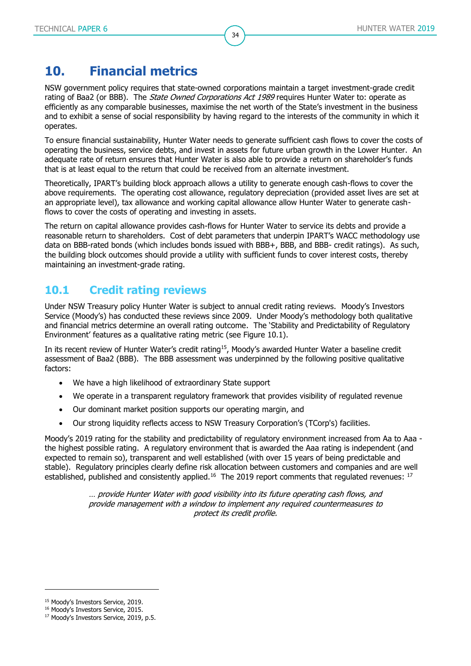# <span id="page-33-0"></span>**10. Financial metrics**

NSW government policy requires that state-owned corporations maintain a target investment-grade credit rating of Baa2 (or BBB). The *State Owned Corporations Act 1989* requires Hunter Water to: operate as efficiently as any comparable businesses, maximise the net worth of the State's investment in the business and to exhibit a sense of social responsibility by having regard to the interests of the community in which it operates.

34

To ensure financial sustainability, Hunter Water needs to generate sufficient cash flows to cover the costs of operating the business, service debts, and invest in assets for future urban growth in the Lower Hunter. An adequate rate of return ensures that Hunter Water is also able to provide a return on shareholder's funds that is at least equal to the return that could be received from an alternate investment.

Theoretically, IPART's building block approach allows a utility to generate enough cash-flows to cover the above requirements. The operating cost allowance, regulatory depreciation (provided asset lives are set at an appropriate level), tax allowance and working capital allowance allow Hunter Water to generate cashflows to cover the costs of operating and investing in assets.

The return on capital allowance provides cash-flows for Hunter Water to service its debts and provide a reasonable return to shareholders. Cost of debt parameters that underpin IPART's WACC methodology use data on BBB-rated bonds (which includes bonds issued with BBB+, BBB, and BBB- credit ratings). As such, the building block outcomes should provide a utility with sufficient funds to cover interest costs, thereby maintaining an investment-grade rating.

### <span id="page-33-1"></span>**10.1 Credit rating reviews**

Under NSW Treasury policy Hunter Water is subject to annual credit rating reviews. Moody's Investors Service (Moody's) has conducted these reviews since 2009. Under Moody's methodology both qualitative and financial metrics determine an overall rating outcome. The 'Stability and Predictability of Regulatory Environment' features as a qualitative rating metric (see [Figure 10.1\)](#page-34-1).

In its recent review of Hunter Water's credit rating<sup>15</sup>, Moody's awarded Hunter Water a baseline credit assessment of Baa2 (BBB). The BBB assessment was underpinned by the following positive qualitative factors:

- We have a high likelihood of extraordinary State support
- We operate in a transparent regulatory framework that provides visibility of regulated revenue
- Our dominant market position supports our operating margin, and
- Our strong liquidity reflects access to NSW Treasury Corporation's (TCorp's) facilities.

Moody's 2019 rating for the stability and predictability of regulatory environment increased from Aa to Aaa the highest possible rating. A regulatory environment that is awarded the Aaa rating is independent (and expected to remain so), transparent and well established (with over 15 years of being predictable and stable). Regulatory principles clearly define risk allocation between customers and companies and are well established, published and consistently applied.<sup>16</sup> The 2019 report comments that regulated revenues:  $17$ 

> … provide Hunter Water with good visibility into its future operating cash flows, and provide management with a window to implement any required countermeasures to protect its credit profile.

<sup>&</sup>lt;sup>15</sup> Moody's Investors Service, 2019.

<sup>&</sup>lt;sup>16</sup> Moody's Investors Service, 2015.

<sup>&</sup>lt;sup>17</sup> Moody's Investors Service, 2019, p.5.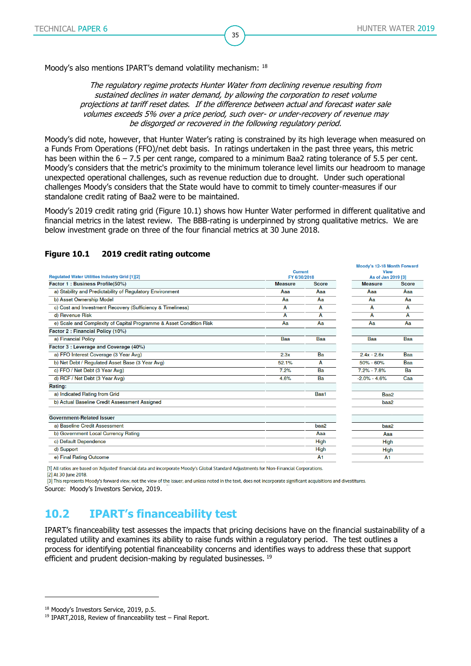Moodule 19.19 Month Fourard

Moody's also mentions IPART's demand volatility mechanism: 18

The regulatory regime protects Hunter Water from declining revenue resulting from sustained declines in water demand, by allowing the corporation to reset volume projections at tariff reset dates. If the difference between actual and forecast water sale volumes exceeds 5% over a price period, such over- or under-recovery of revenue may be disgorged or recovered in the following regulatory period.

35

Moody's did note, however, that Hunter Water's rating is constrained by its high leverage when measured on a Funds From Operations (FFO)/net debt basis. In ratings undertaken in the past three years, this metric has been within the  $6 - 7.5$  per cent range, compared to a minimum Baa2 rating tolerance of 5.5 per cent. Moody's considers that the metric's proximity to the minimum tolerance level limits our headroom to manage unexpected operational challenges, such as revenue reduction due to drought. Under such operational challenges Moody's considers that the State would have to commit to timely counter-measures if our standalone credit rating of Baa2 were to be maintained.

Moody's 2019 credit rating grid [\(Figure 10.1\)](#page-34-1) shows how Hunter Water performed in different qualitative and financial metrics in the latest review. The BBB-rating is underpinned by strong qualitative metrics. We are below investment grade on three of the four financial metrics at 30 June 2018.

| Regulated Water Utilities Industry Grid [1][2]                      | <b>Current</b><br>FY 6/30/2018 |                | <b>View</b><br>As of Jan 2019 [3] |              |  |
|---------------------------------------------------------------------|--------------------------------|----------------|-----------------------------------|--------------|--|
|                                                                     |                                |                |                                   |              |  |
| Factor 1: Business Profile(50%)                                     | <b>Measure</b>                 | <b>Score</b>   | <b>Measure</b>                    | <b>Score</b> |  |
| a) Stability and Predictability of Regulatory Environment           | Aaa                            | Aaa            | Aaa                               | Aaa          |  |
| b) Asset Ownership Model                                            | Aa                             | Aa             | Aa                                | Aa           |  |
| c) Cost and Investment Recovery (Sufficiency & Timeliness)          | A                              | А              | A                                 | A            |  |
| d) Revenue Risk                                                     | А                              | А              | A                                 | A            |  |
| e) Scale and Complexity of Capital Programme & Asset Condition Risk | Aa                             | Aa             | Aa                                | Aa           |  |
| Factor 2 : Financial Policy (10%)                                   |                                |                |                                   |              |  |
| a) Financial Policy                                                 | Baa                            | Baa            | Baa                               | Baa          |  |
| Factor 3 : Leverage and Coverage (40%)                              |                                |                |                                   |              |  |
| a) FFO Interest Coverage (3 Year Avg)                               | 2.3x                           | Ba             | $2.4x - 2.6x$                     | Baa          |  |
| b) Net Debt / Regulated Asset Base (3 Year Avg)                     | 52.1%                          | А              | 50% - 60%                         | Baa          |  |
| c) FFO / Net Debt (3 Year Avg)                                      | 7.2%                           | Ba             | $7.2\% - 7.8\%$                   | Ba           |  |
| d) RCF / Net Debt (3 Year Avg)                                      | 4.6%                           | Ba             | $-2.0\% - 4.6\%$                  | Caa          |  |
| Rating:                                                             |                                |                |                                   |              |  |
| a) Indicated Rating from Grid                                       |                                | Baa1           | Baa2                              |              |  |
| b) Actual Baseline Credit Assessment Assigned                       |                                |                | baa2                              |              |  |
| <b>Government-Related Issuer</b>                                    |                                |                |                                   |              |  |
| a) Baseline Credit Assessment                                       |                                | baa2           | baa2                              |              |  |
| b) Government Local Currency Rating                                 |                                | Aaa            | Aaa                               |              |  |
| c) Default Dependence                                               |                                | High           | <b>High</b>                       |              |  |
| d) Support                                                          |                                | High           | <b>High</b>                       |              |  |
| e) Final Rating Outcome                                             |                                | A <sub>1</sub> | A <sub>1</sub>                    |              |  |
|                                                                     |                                |                |                                   |              |  |

#### <span id="page-34-1"></span>**Figure 10.1 2019 credit rating outcome**

[1] All ratios are based on 'Adjusted' financial data and incorporate Moody's Global Standard Adjustments for Non-Financial Corporations.

[2] At 30 June 2018

-

[3] This represents Moody's forward view; not the view of the issuer; and unless noted in the text, does not incorporate significant acquisitions and divestitures Source: Moody's Investors Service, 2019.

## <span id="page-34-0"></span>**10.2 IPART's financeability test**

IPART's financeability test assesses the impacts that pricing decisions have on the financial sustainability of a regulated utility and examines its ability to raise funds within a regulatory period. The test outlines a process for identifying potential financeability concerns and identifies ways to address these that support efficient and prudent decision-making by regulated businesses.<sup>19</sup>

<sup>18</sup> Moody's Investors Service, 2019, p.5.

<sup>19</sup> IPART,2018, Review of financeability test – Final Report.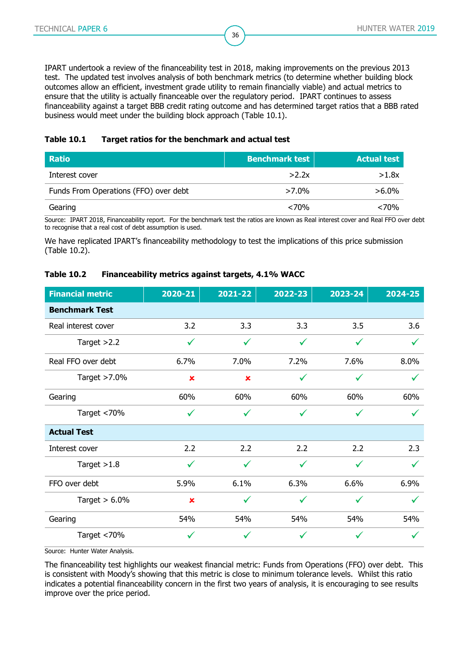IPART undertook a review of the financeability test in 2018, making improvements on the previous 2013 test. The updated test involves analysis of both benchmark metrics (to determine whether building block outcomes allow an efficient, investment grade utility to remain financially viable) and actual metrics to ensure that the utility is actually financeable over the regulatory period. IPART continues to assess financeability against a target BBB credit rating outcome and has determined target ratios that a BBB rated business would meet under the building block approach [\(Table 10.1\)](#page-35-0).

36

#### <span id="page-35-0"></span>**Table 10.1 Target ratios for the benchmark and actual test**

| <b>Ratio</b>                          | Benchmark test | <b>Actual test</b> |
|---------------------------------------|----------------|--------------------|
| Interest cover                        | >2.2x          | >1.8x              |
| Funds From Operations (FFO) over debt | $>7.0\%$       | $>6.0\%$           |
| Gearing                               | < 70%          | ${<}70\%$          |

Source: IPART 2018, Financeability report. For the benchmark test the ratios are known as Real interest cover and Real FFO over debt to recognise that a real cost of debt assumption is used.

We have replicated IPART's financeability methodology to test the implications of this price submission [\(Table 10.2\)](#page-35-1).

#### <span id="page-35-1"></span>**Table 10.2 Financeability metrics against targets, 4.1% WACC**

| <b>Financial metric</b> | 2020-21        | 2021-22      | 2022-23      | 2023-24      | 2024-25      |
|-------------------------|----------------|--------------|--------------|--------------|--------------|
| <b>Benchmark Test</b>   |                |              |              |              |              |
| Real interest cover     | 3.2            | 3.3          | 3.3          | 3.5          | 3.6          |
| Target $>2.2$           | $\checkmark$   | $\checkmark$ | $\checkmark$ | $\checkmark$ |              |
| Real FFO over debt      | 6.7%           | 7.0%         | 7.2%         | 7.6%         | 8.0%         |
| Target $>7.0\%$         | $\pmb{\times}$ | ×            | $\checkmark$ | $\checkmark$ | $\checkmark$ |
| Gearing                 | 60%            | 60%          | 60%          | 60%          | 60%          |
| Target <70%             | $\checkmark$   | $\checkmark$ | $\checkmark$ | $\checkmark$ | $\checkmark$ |
| <b>Actual Test</b>      |                |              |              |              |              |
| Interest cover          | 2.2            | 2.2          | 2.2          | 2.2          | 2.3          |
| Target $>1.8$           | $\checkmark$   | ✓            | ✓            | ✓            |              |
| FFO over debt           | 5.9%           | 6.1%         | 6.3%         | 6.6%         | 6.9%         |
| Target $> 6.0\%$        | $\pmb{\times}$ |              | ✓            |              |              |
| Gearing                 | 54%            | 54%          | 54%          | 54%          | 54%          |
| Target <70%             | $\checkmark$   |              | ✓            |              |              |

Source: Hunter Water Analysis.

The financeability test highlights our weakest financial metric: Funds from Operations (FFO) over debt. This is consistent with Moody's showing that this metric is close to minimum tolerance levels. Whilst this ratio indicates a potential financeability concern in the first two years of analysis, it is encouraging to see results improve over the price period.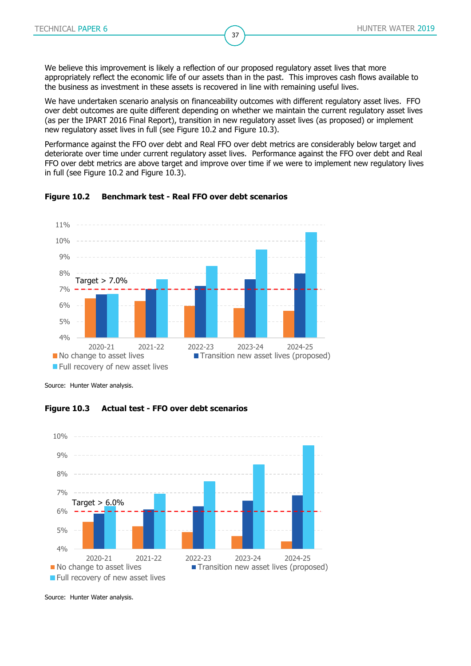We believe this improvement is likely a reflection of our proposed regulatory asset lives that more appropriately reflect the economic life of our assets than in the past. This improves cash flows available to the business as investment in these assets is recovered in line with remaining useful lives.

37

We have undertaken scenario analysis on financeability outcomes with different regulatory asset lives. FFO over debt outcomes are quite different depending on whether we maintain the current regulatory asset lives (as per the IPART 2016 Final Report), transition in new regulatory asset lives (as proposed) or implement new regulatory asset lives in full (see [Figure 10.2](#page-36-0) and [Figure 10.3\)](#page-36-1).

Performance against the FFO over debt and Real FFO over debt metrics are considerably below target and deteriorate over time under current regulatory asset lives. Performance against the FFO over debt and Real FFO over debt metrics are above target and improve over time if we were to implement new regulatory lives in full (see [Figure 10.2](#page-36-0) and [Figure 10.3\)](#page-36-1).



#### <span id="page-36-0"></span>**Figure 10.2 Benchmark test - Real FFO over debt scenarios**

<span id="page-36-1"></span>Source: Hunter Water analysis.





Source: Hunter Water analysis.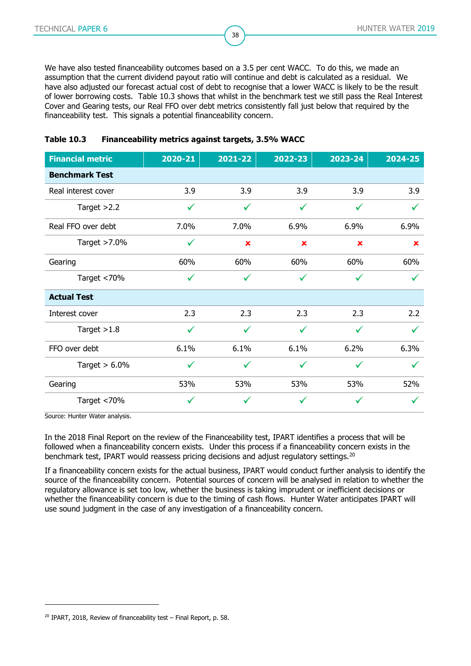We have also tested financeability outcomes based on a 3.5 per cent WACC. To do this, we made an assumption that the current dividend payout ratio will continue and debt is calculated as a residual. We have also adjusted our forecast actual cost of debt to recognise that a lower WACC is likely to be the result of lower borrowing costs. [Table 10.3](#page-37-0) shows that whilst in the benchmark test we still pass the Real Interest Cover and Gearing tests, our Real FFO over debt metrics consistently fall just below that required by the financeability test. This signals a potential financeability concern.

38

| <b>Financial metric</b> | 2020-21      | 2021-22        | 2022-23        | 2023-24      | 2024-25      |
|-------------------------|--------------|----------------|----------------|--------------|--------------|
| <b>Benchmark Test</b>   |              |                |                |              |              |
| Real interest cover     | 3.9          | 3.9            | 3.9            | 3.9          | 3.9          |
| Target $>2.2$           | $\checkmark$ | $\checkmark$   | $\checkmark$   | $\checkmark$ | $\checkmark$ |
| Real FFO over debt      | 7.0%         | 7.0%           | 6.9%           | 6.9%         | 6.9%         |
| Target >7.0%            | $\checkmark$ | $\pmb{\times}$ | $\pmb{\times}$ | ×            | $\mathbf x$  |
| Gearing                 | 60%          | 60%            | 60%            | 60%          | 60%          |
| Target <70%             | $\checkmark$ | $\checkmark$   | ✓              | ✓            |              |
| <b>Actual Test</b>      |              |                |                |              |              |
| Interest cover          | 2.3          | 2.3            | 2.3            | 2.3          | 2.2          |
| Target $>1.8$           | $\checkmark$ | $\checkmark$   | $\checkmark$   | ✓            | $\checkmark$ |
| FFO over debt           | 6.1%         | 6.1%           | 6.1%           | 6.2%         | 6.3%         |
| Target $> 6.0\%$        | $\checkmark$ | ✓              | ✓              | ✓            | $\checkmark$ |
| Gearing                 | 53%          | 53%            | 53%            | 53%          | 52%          |
| Target <70%             | ✓            | ✓              | ✓              | ✓            |              |

#### <span id="page-37-0"></span>**Table 10.3 Financeability metrics against targets, 3.5% WACC**

Source: Hunter Water analysis.

-

In the 2018 Final Report on the review of the Financeability test, IPART identifies a process that will be followed when a financeability concern exists. Under this process if a financeability concern exists in the benchmark test, IPART would reassess pricing decisions and adjust regulatory settings.<sup>20</sup>

If a financeability concern exists for the actual business, IPART would conduct further analysis to identify the source of the financeability concern. Potential sources of concern will be analysed in relation to whether the regulatory allowance is set too low, whether the business is taking imprudent or inefficient decisions or whether the financeability concern is due to the timing of cash flows. Hunter Water anticipates IPART will use sound judgment in the case of any investigation of a financeability concern.

 $20$  IPART, 2018, Review of financeability test – Final Report, p. 58.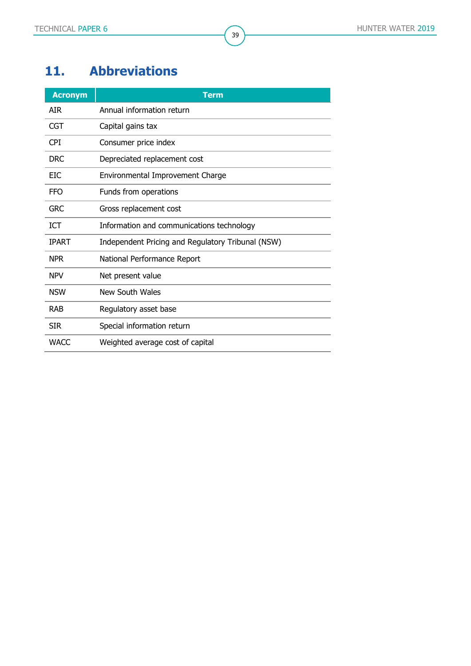# <span id="page-38-0"></span>**11. Abbreviations**

| <b>Acronym</b> | <b>Term</b>                                       |
|----------------|---------------------------------------------------|
| <b>AIR</b>     | Annual information return                         |
| CGT            | Capital gains tax                                 |
| <b>CPI</b>     | Consumer price index                              |
| <b>DRC</b>     | Depreciated replacement cost                      |
| <b>EIC</b>     | Environmental Improvement Charge                  |
| <b>FFO</b>     | Funds from operations                             |
| <b>GRC</b>     | Gross replacement cost                            |
| <b>ICT</b>     | Information and communications technology         |
| <b>IPART</b>   | Independent Pricing and Regulatory Tribunal (NSW) |
| <b>NPR</b>     | National Performance Report                       |
| <b>NPV</b>     | Net present value                                 |
| <b>NSW</b>     | New South Wales                                   |
| <b>RAB</b>     | Regulatory asset base                             |
| <b>SIR</b>     | Special information return                        |
| <b>WACC</b>    | Weighted average cost of capital                  |

39